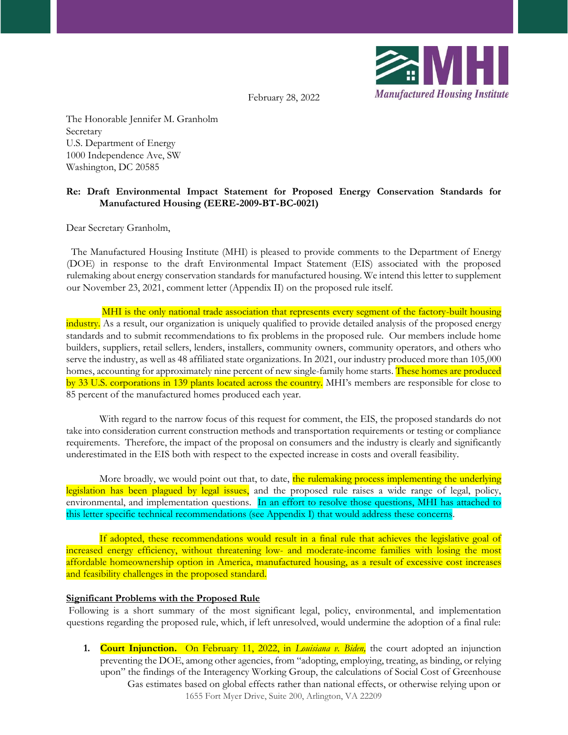

February 28, 2022

The Honorable Jennifer M. Granholm **Secretary** U.S. Department of Energy 1000 Independence Ave, SW Washington, DC 20585

# **Re: Draft Environmental Impact Statement for Proposed Energy Conservation Standards for Manufactured Housing (EERE-2009-BT-BC-0021)**

Dear Secretary Granholm,

 The Manufactured Housing Institute (MHI) is pleased to provide comments to the Department of Energy (DOE) in response to the draft Environmental Impact Statement (EIS) associated with the proposed rulemaking about energy conservation standards for manufactured housing. We intend this letter to supplement our November 23, 2021, comment letter (Appendix II) on the proposed rule itself.

MHI is the only national trade association that represents every segment of the factory-built housing industry. As a result, our organization is uniquely qualified to provide detailed analysis of the proposed energy standards and to submit recommendations to fix problems in the proposed rule. Our members include home builders, suppliers, retail sellers, lenders, installers, community owners, community operators, and others who serve the industry, as well as 48 affiliated state organizations. In 2021, our industry produced more than 105,000 homes, accounting for approximately nine percent of new single-family home starts. These homes are produced by 33 U.S. corporations in 139 plants located across the country. MHI's members are responsible for close to 85 percent of the manufactured homes produced each year.

With regard to the narrow focus of this request for comment, the EIS, the proposed standards do not take into consideration current construction methods and transportation requirements or testing or compliance requirements. Therefore, the impact of the proposal on consumers and the industry is clearly and significantly underestimated in the EIS both with respect to the expected increase in costs and overall feasibility.

More broadly, we would point out that, to date, the rulemaking process implementing the underlying legislation has been plagued by legal issues, and the proposed rule raises a wide range of legal, policy, environmental, and implementation questions. In an effort to resolve those questions, MHI has attached to this letter specific technical recommendations (see Appendix I) that would address these concerns.

If adopted, these recommendations would result in a final rule that achieves the legislative goal of increased energy efficiency, without threatening low- and moderate-income families with losing the most affordable homeownership option in America, manufactured housing, as a result of excessive cost increases and feasibility challenges in the proposed standard.

#### **Significant Problems with the Proposed Rule**

Following is a short summary of the most significant legal, policy, environmental, and implementation questions regarding the proposed rule, which, if left unresolved, would undermine the adoption of a final rule:

**1. Court Injunction.** On February 11, 2022, in *Louisiana v. Biden,* the court adopted an injunction preventing the DOE, among other agencies, from "adopting, employing, treating, as binding, or relying upon" the findings of the Interagency Working Group, the calculations of Social Cost of Greenhouse Gas estimates based on global effects rather than national effects, or otherwise relying upon or 1655 Fort Myer Drive, Suite 200, Arlington, VA 22209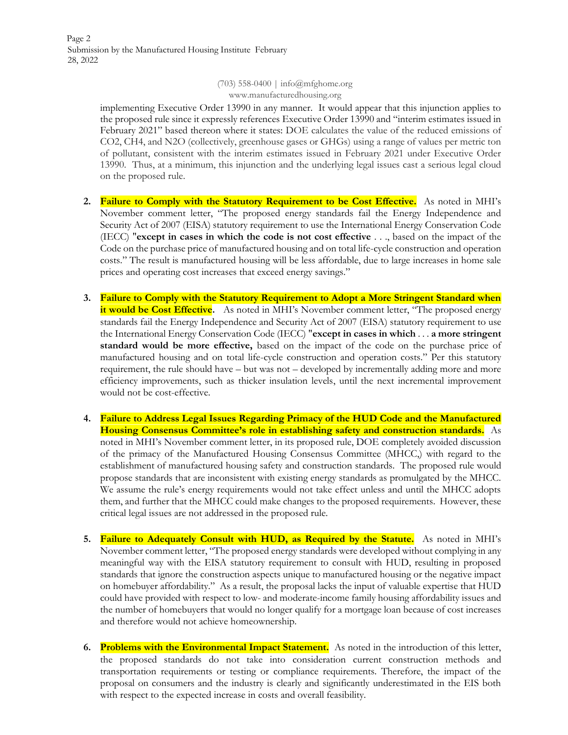Page 2 Submission by the Manufactured Housing Institute February 28, 2022

> (703) 558-0400 | info@mfghome.org www.manufacturedhousing.org

implementing Executive Order 13990 in any manner. It would appear that this injunction applies to the proposed rule since it expressly references Executive Order 13990 and "interim estimates issued in February 2021" based thereon where it states: DOE calculates the value of the reduced emissions of CO2, CH4, and N2O (collectively, greenhouse gases or GHGs) using a range of values per metric ton of pollutant, consistent with the interim estimates issued in February 2021 under Executive Order 13990. Thus, at a minimum, this injunction and the underlying legal issues cast a serious legal cloud on the proposed rule.

- **2. Failure to Comply with the Statutory Requirement to be Cost Effective.** As noted in MHI's November comment letter, "The proposed energy standards fail the Energy Independence and Security Act of 2007 (EISA) statutory requirement to use the International Energy Conservation Code (IECC) "**except in cases in which the code is not cost effective** . . ., based on the impact of the Code on the purchase price of manufactured housing and on total life-cycle construction and operation costs." The result is manufactured housing will be less affordable, due to large increases in home sale prices and operating cost increases that exceed energy savings."
- **3. Failure to Comply with the Statutory Requirement to Adopt a More Stringent Standard when it would be Cost Effective.** As noted in MHI's November comment letter, "The proposed energy standards fail the Energy Independence and Security Act of 2007 (EISA) statutory requirement to use the International Energy Conservation Code (IECC) "**except in cases in which** . . . **a more stringent standard would be more effective,** based on the impact of the code on the purchase price of manufactured housing and on total life-cycle construction and operation costs." Per this statutory requirement, the rule should have – but was not – developed by incrementally adding more and more efficiency improvements, such as thicker insulation levels, until the next incremental improvement would not be cost-effective.
- **4. Failure to Address Legal Issues Regarding Primacy of the HUD Code and the Manufactured Housing Consensus Committee's role in establishing safety and construction standards.** As noted in MHI's November comment letter, in its proposed rule, DOE completely avoided discussion of the primacy of the Manufactured Housing Consensus Committee (MHCC,) with regard to the establishment of manufactured housing safety and construction standards. The proposed rule would propose standards that are inconsistent with existing energy standards as promulgated by the MHCC. We assume the rule's energy requirements would not take effect unless and until the MHCC adopts them, and further that the MHCC could make changes to the proposed requirements. However, these critical legal issues are not addressed in the proposed rule.
- **5. Failure to Adequately Consult with HUD, as Required by the Statute.** As noted in MHI's November comment letter, "The proposed energy standards were developed without complying in any meaningful way with the EISA statutory requirement to consult with HUD, resulting in proposed standards that ignore the construction aspects unique to manufactured housing or the negative impact on homebuyer affordability." As a result, the proposal lacks the input of valuable expertise that HUD could have provided with respect to low- and moderate-income family housing affordability issues and the number of homebuyers that would no longer qualify for a mortgage loan because of cost increases and therefore would not achieve homeownership.
- **6. Problems with the Environmental Impact Statement.** As noted in the introduction of this letter, the proposed standards do not take into consideration current construction methods and transportation requirements or testing or compliance requirements. Therefore, the impact of the proposal on consumers and the industry is clearly and significantly underestimated in the EIS both with respect to the expected increase in costs and overall feasibility.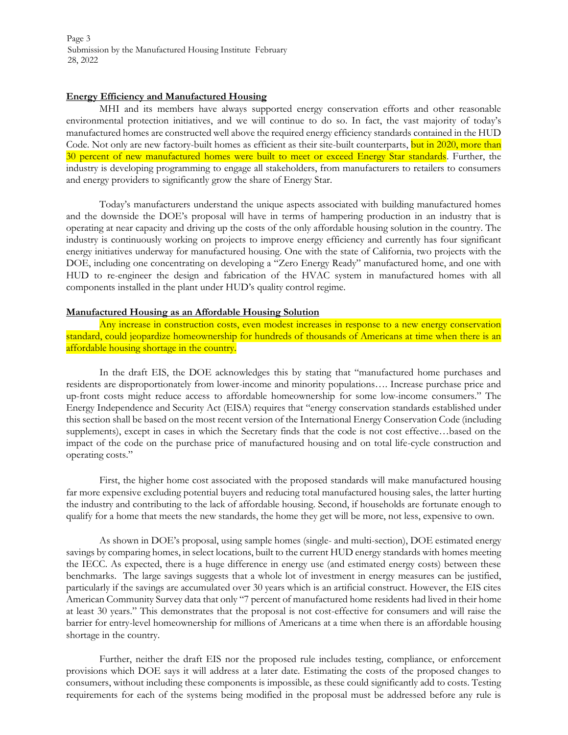Page 3 Submission by the Manufactured Housing Institute February 28, 2022

#### **Energy Efficiency and Manufactured Housing**

MHI and its members have always supported energy conservation efforts and other reasonable environmental protection initiatives, and we will continue to do so. In fact, the vast majority of today's manufactured homes are constructed well above the required energy efficiency standards contained in the HUD Code. Not only are new factory-built homes as efficient as their site-built counterparts, but in 2020, more than 30 percent of new manufactured homes were built to meet or exceed Energy Star standards. Further, the industry is developing programming to engage all stakeholders, from manufacturers to retailers to consumers and energy providers to significantly grow the share of Energy Star.

Today's manufacturers understand the unique aspects associated with building manufactured homes and the downside the DOE's proposal will have in terms of hampering production in an industry that is operating at near capacity and driving up the costs of the only affordable housing solution in the country. The industry is continuously working on projects to improve energy efficiency and currently has four significant energy initiatives underway for manufactured housing. One with the state of California, two projects with the DOE, including one concentrating on developing a "Zero Energy Ready" manufactured home, and one with HUD to re-engineer the design and fabrication of the HVAC system in manufactured homes with all components installed in the plant under HUD's quality control regime.

#### **Manufactured Housing as an Affordable Housing Solution**

Any increase in construction costs, even modest increases in response to a new energy conservation standard, could jeopardize homeownership for hundreds of thousands of Americans at time when there is an affordable housing shortage in the country.

In the draft EIS, the DOE acknowledges this by stating that "manufactured home purchases and residents are disproportionately from lower-income and minority populations…. Increase purchase price and up-front costs might reduce access to affordable homeownership for some low-income consumers." The Energy Independence and Security Act (EISA) requires that "energy conservation standards established under this section shall be based on the most recent version of the International Energy Conservation Code (including supplements), except in cases in which the Secretary finds that the code is not cost effective…based on the impact of the code on the purchase price of manufactured housing and on total life-cycle construction and operating costs."

First, the higher home cost associated with the proposed standards will make manufactured housing far more expensive excluding potential buyers and reducing total manufactured housing sales, the latter hurting the industry and contributing to the lack of affordable housing. Second, if households are fortunate enough to qualify for a home that meets the new standards, the home they get will be more, not less, expensive to own.

As shown in DOE's proposal, using sample homes (single- and multi-section), DOE estimated energy savings by comparing homes, in select locations, built to the current HUD energy standards with homes meeting the IECC. As expected, there is a huge difference in energy use (and estimated energy costs) between these benchmarks. The large savings suggests that a whole lot of investment in energy measures can be justified, particularly if the savings are accumulated over 30 years which is an artificial construct. However, the EIS cites American Community Survey data that only "7 percent of manufactured home residents had lived in their home at least 30 years." This demonstrates that the proposal is not cost-effective for consumers and will raise the barrier for entry-level homeownership for millions of Americans at a time when there is an affordable housing shortage in the country.

Further, neither the draft EIS nor the proposed rule includes testing, compliance, or enforcement provisions which DOE says it will address at a later date. Estimating the costs of the proposed changes to consumers, without including these components is impossible, as these could significantly add to costs. Testing requirements for each of the systems being modified in the proposal must be addressed before any rule is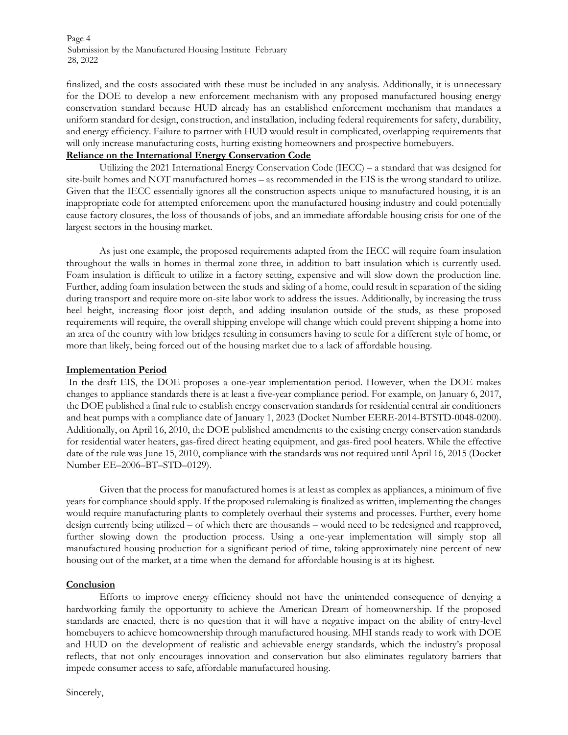Page 4 Submission by the Manufactured Housing Institute February 28, 2022

finalized, and the costs associated with these must be included in any analysis. Additionally, it is unnecessary for the DOE to develop a new enforcement mechanism with any proposed manufactured housing energy conservation standard because HUD already has an established enforcement mechanism that mandates a uniform standard for design, construction, and installation, including federal requirements for safety, durability, and energy efficiency. Failure to partner with HUD would result in complicated, overlapping requirements that will only increase manufacturing costs, hurting existing homeowners and prospective homebuyers.

#### **Reliance on the International Energy Conservation Code**

Utilizing the 2021 International Energy Conservation Code (IECC) – a standard that was designed for site-built homes and NOT manufactured homes – as recommended in the EIS is the wrong standard to utilize. Given that the IECC essentially ignores all the construction aspects unique to manufactured housing, it is an inappropriate code for attempted enforcement upon the manufactured housing industry and could potentially cause factory closures, the loss of thousands of jobs, and an immediate affordable housing crisis for one of the largest sectors in the housing market.

As just one example, the proposed requirements adapted from the IECC will require foam insulation throughout the walls in homes in thermal zone three, in addition to batt insulation which is currently used. Foam insulation is difficult to utilize in a factory setting, expensive and will slow down the production line. Further, adding foam insulation between the studs and siding of a home, could result in separation of the siding during transport and require more on-site labor work to address the issues. Additionally, by increasing the truss heel height, increasing floor joist depth, and adding insulation outside of the studs, as these proposed requirements will require, the overall shipping envelope will change which could prevent shipping a home into an area of the country with low bridges resulting in consumers having to settle for a different style of home, or more than likely, being forced out of the housing market due to a lack of affordable housing.

#### **Implementation Period**

In the draft EIS, the DOE proposes a one-year implementation period. However, when the DOE makes changes to appliance standards there is at least a five-year compliance period. For example, on January 6, 2017, the DOE published a final rule to establish energy conservation standards for residential central air conditioners and heat pumps with a compliance date of January 1, 2023 (Docket Number EERE-2014-BTSTD-0048-0200). Additionally, on April 16, 2010, the DOE published amendments to the existing energy conservation standards for residential water heaters, gas-fired direct heating equipment, and gas-fired pool heaters. While the effective date of the rule was June 15, 2010, compliance with the standards was not required until April 16, 2015 (Docket Number EE–2006–BT–STD–0129).

Given that the process for manufactured homes is at least as complex as appliances, a minimum of five years for compliance should apply. If the proposed rulemaking is finalized as written, implementing the changes would require manufacturing plants to completely overhaul their systems and processes. Further, every home design currently being utilized – of which there are thousands – would need to be redesigned and reapproved, further slowing down the production process. Using a one-year implementation will simply stop all manufactured housing production for a significant period of time, taking approximately nine percent of new housing out of the market, at a time when the demand for affordable housing is at its highest.

#### **Conclusion**

Efforts to improve energy efficiency should not have the unintended consequence of denying a hardworking family the opportunity to achieve the American Dream of homeownership. If the proposed standards are enacted, there is no question that it will have a negative impact on the ability of entry-level homebuyers to achieve homeownership through manufactured housing. MHI stands ready to work with DOE and HUD on the development of realistic and achievable energy standards, which the industry's proposal reflects, that not only encourages innovation and conservation but also eliminates regulatory barriers that impede consumer access to safe, affordable manufactured housing.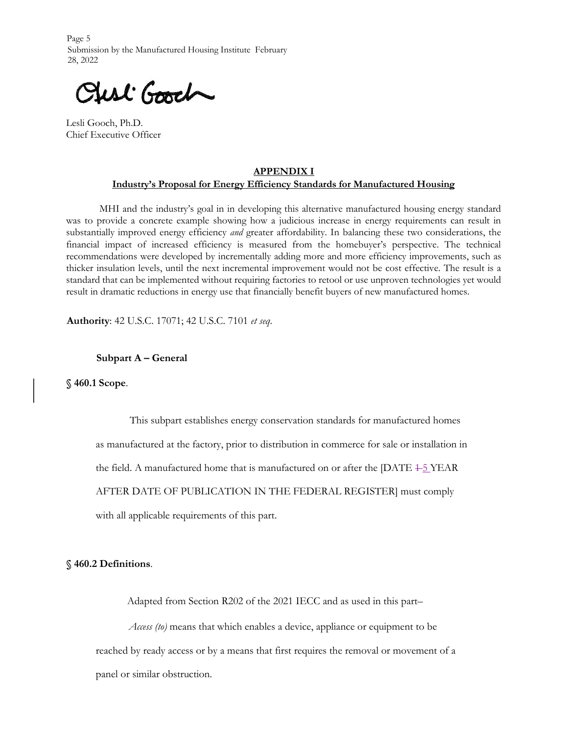Page 5 Submission by the Manufactured Housing Institute February 28, 2022

First Good

Lesli Gooch, Ph.D. Chief Executive Officer

# **APPENDIX I Industry's Proposal for Energy Efficiency Standards for Manufactured Housing**

MHI and the industry's goal in in developing this alternative manufactured housing energy standard was to provide a concrete example showing how a judicious increase in energy requirements can result in substantially improved energy efficiency *and* greater affordability. In balancing these two considerations, the financial impact of increased efficiency is measured from the homebuyer's perspective. The technical recommendations were developed by incrementally adding more and more efficiency improvements, such as thicker insulation levels, until the next incremental improvement would not be cost effective. The result is a standard that can be implemented without requiring factories to retool or use unproven technologies yet would result in dramatic reductions in energy use that financially benefit buyers of new manufactured homes.

**Authority**: 42 U.S.C. 17071; 42 U.S.C. 7101 *et seq*.

#### **Subpart A – General**

**§ 460.1 Scope**.

This subpart establishes energy conservation standards for manufactured homes as manufactured at the factory, prior to distribution in commerce for sale or installation in the field. A manufactured home that is manufactured on or after the  $[DATE + 5$  YEAR AFTER DATE OF PUBLICATION IN THE FEDERAL REGISTER] must comply with all applicable requirements of this part.

#### **§ 460.2 Definitions**.

Adapted from Section R202 of the 2021 IECC and as used in this part–

*Access (to)* means that which enables a device, appliance or equipment to be reached by ready access or by a means that first requires the removal or movement of a panel or similar obstruction.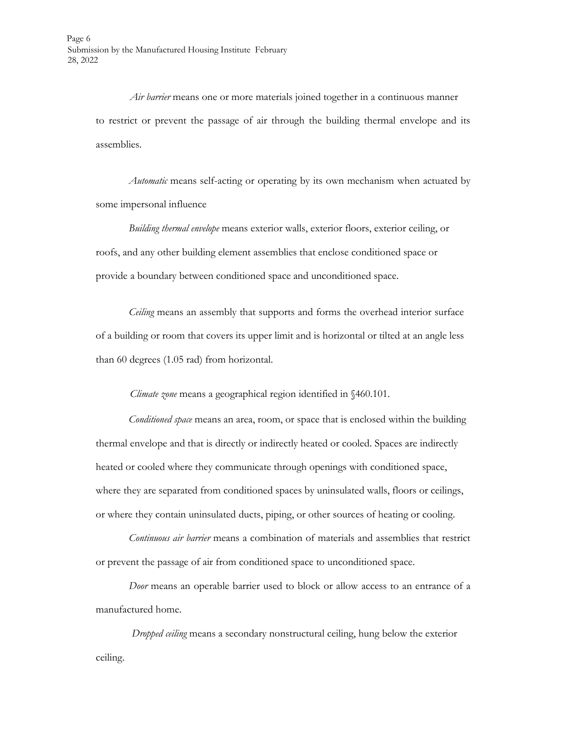*Air barrier* means one or more materials joined together in a continuous manner to restrict or prevent the passage of air through the building thermal envelope and its assemblies.

*Automatic* means self-acting or operating by its own mechanism when actuated by some impersonal influence

*Building thermal envelope* means exterior walls, exterior floors, exterior ceiling, or roofs, and any other building element assemblies that enclose conditioned space or provide a boundary between conditioned space and unconditioned space.

*Ceiling* means an assembly that supports and forms the overhead interior surface of a building or room that covers its upper limit and is horizontal or tilted at an angle less than 60 degrees (1.05 rad) from horizontal.

*Climate zone* means a geographical region identified in §460.101.

*Conditioned space* means an area, room, or space that is enclosed within the building thermal envelope and that is directly or indirectly heated or cooled. Spaces are indirectly heated or cooled where they communicate through openings with conditioned space, where they are separated from conditioned spaces by uninsulated walls, floors or ceilings, or where they contain uninsulated ducts, piping, or other sources of heating or cooling.

*Continuous air barrier* means a combination of materials and assemblies that restrict or prevent the passage of air from conditioned space to unconditioned space.

*Door* means an operable barrier used to block or allow access to an entrance of a manufactured home.

*Dropped ceiling* means a secondary nonstructural ceiling, hung below the exterior ceiling.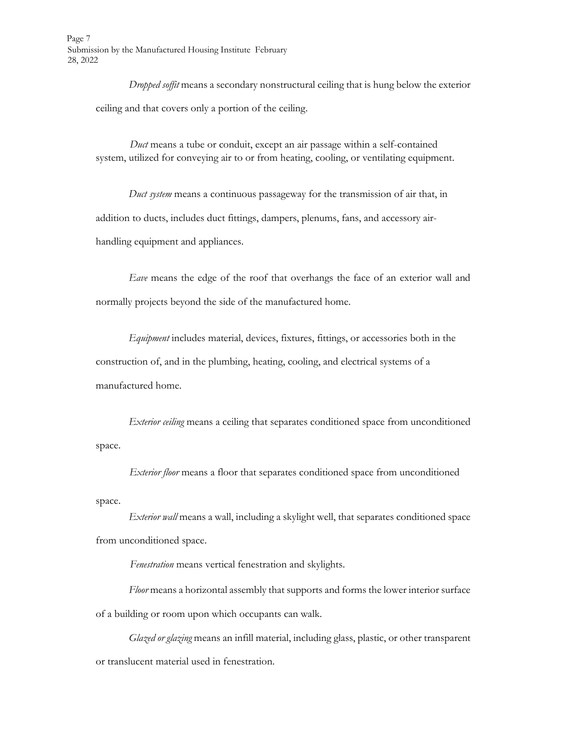Page 7 Submission by the Manufactured Housing Institute February 28, 2022

> *Dropped soffit* means a secondary nonstructural ceiling that is hung below the exterior ceiling and that covers only a portion of the ceiling.

*Duct* means a tube or conduit, except an air passage within a self-contained system, utilized for conveying air to or from heating, cooling, or ventilating equipment.

*Duct system* means a continuous passageway for the transmission of air that, in addition to ducts, includes duct fittings, dampers, plenums, fans, and accessory airhandling equipment and appliances.

*Eave* means the edge of the roof that overhangs the face of an exterior wall and normally projects beyond the side of the manufactured home.

*Equipment* includes material, devices, fixtures, fittings, or accessories both in the construction of, and in the plumbing, heating, cooling, and electrical systems of a manufactured home.

*Exterior ceiling* means a ceiling that separates conditioned space from unconditioned space.

*Exterior floor* means a floor that separates conditioned space from unconditioned space.

*Exterior wall* means a wall, including a skylight well, that separates conditioned space from unconditioned space.

*Fenestration* means vertical fenestration and skylights.

*Floor* means a horizontal assembly that supports and forms the lower interior surface of a building or room upon which occupants can walk.

*Glazed or glazing* means an infill material, including glass, plastic, or other transparent or translucent material used in fenestration.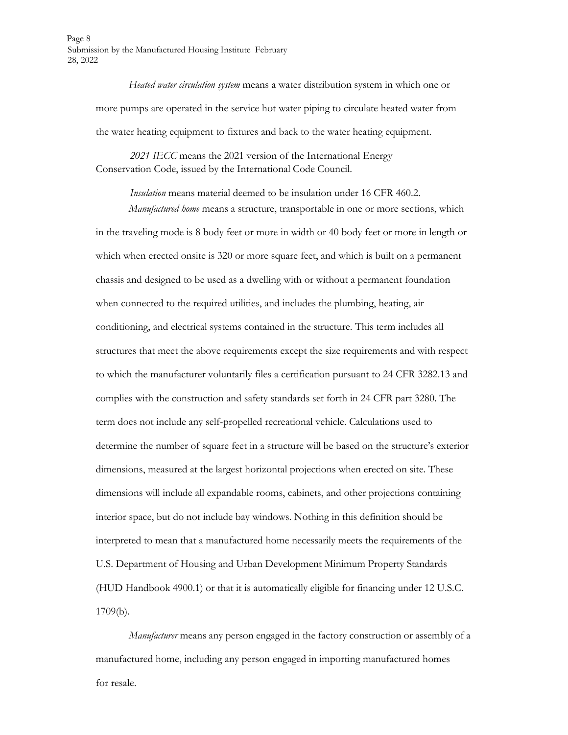Page 8 Submission by the Manufactured Housing Institute February 28, 2022

> *Heated water circulation system* means a water distribution system in which one or more pumps are operated in the service hot water piping to circulate heated water from the water heating equipment to fixtures and back to the water heating equipment.

*2021 IECC* means the 2021 version of the International Energy Conservation Code, issued by the International Code Council.

> *Insulation* means material deemed to be insulation under 16 CFR 460.2. *Manufactured home* means a structure, transportable in one or more sections, which

in the traveling mode is 8 body feet or more in width or 40 body feet or more in length or which when erected onsite is 320 or more square feet, and which is built on a permanent chassis and designed to be used as a dwelling with or without a permanent foundation when connected to the required utilities, and includes the plumbing, heating, air conditioning, and electrical systems contained in the structure. This term includes all structures that meet the above requirements except the size requirements and with respect to which the manufacturer voluntarily files a certification pursuant to 24 CFR 3282.13 and complies with the construction and safety standards set forth in 24 CFR part 3280. The term does not include any self-propelled recreational vehicle. Calculations used to determine the number of square feet in a structure will be based on the structure's exterior dimensions, measured at the largest horizontal projections when erected on site. These dimensions will include all expandable rooms, cabinets, and other projections containing interior space, but do not include bay windows. Nothing in this definition should be interpreted to mean that a manufactured home necessarily meets the requirements of the U.S. Department of Housing and Urban Development Minimum Property Standards (HUD Handbook 4900.1) or that it is automatically eligible for financing under 12 U.S.C. 1709(b).

*Manufacturer* means any person engaged in the factory construction or assembly of a manufactured home, including any person engaged in importing manufactured homes for resale.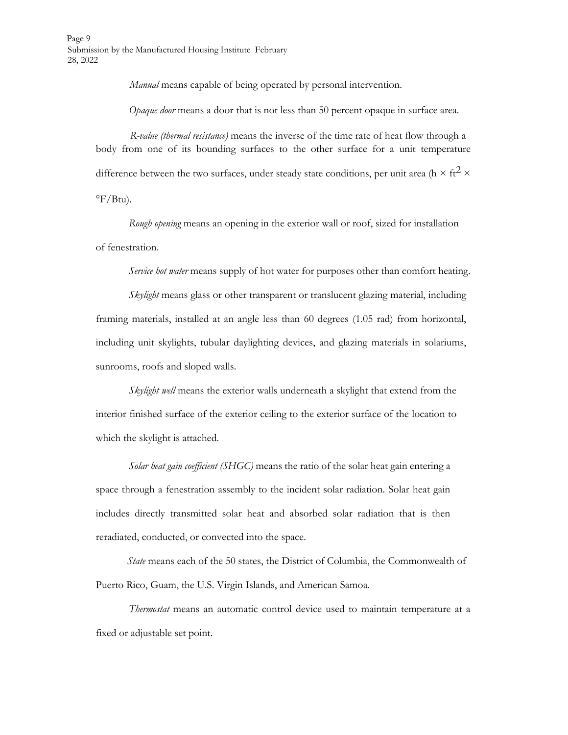Page 9 Submission by the Manufactured Housing Institute February 28, 2022

*Manual* means capable of being operated by personal intervention.

*Opaque door* means a door that is not less than 50 percent opaque in surface area.

*R-value (thermal resistance)* means the inverse of the time rate of heat flow through a body from one of its bounding surfaces to the other surface for a unit temperature difference between the two surfaces, under steady state conditions, per unit area (h  $\times$  ft<sup>2</sup>  $\times$  $\mathrm{P}$ F/Btu).

*Rough opening* means an opening in the exterior wall or roof, sized for installation of fenestration.

*Service hot water* means supply of hot water for purposes other than comfort heating.

*Skylight* means glass or other transparent or translucent glazing material, including framing materials, installed at an angle less than 60 degrees (1.05 rad) from horizontal, including unit skylights, tubular daylighting devices, and glazing materials in solariums, sunrooms, roofs and sloped walls.

*Skylight well* means the exterior walls underneath a skylight that extend from the interior finished surface of the exterior ceiling to the exterior surface of the location to which the skylight is attached.

*Solar heat gain coefficient (SHGC)* means the ratio of the solar heat gain entering a space through a fenestration assembly to the incident solar radiation. Solar heat gain includes directly transmitted solar heat and absorbed solar radiation that is then reradiated, conducted, or convected into the space.

*State* means each of the 50 states, the District of Columbia, the Commonwealth of Puerto Rico, Guam, the U.S. Virgin Islands, and American Samoa.

*Thermostat* means an automatic control device used to maintain temperature at a fixed or adjustable set point.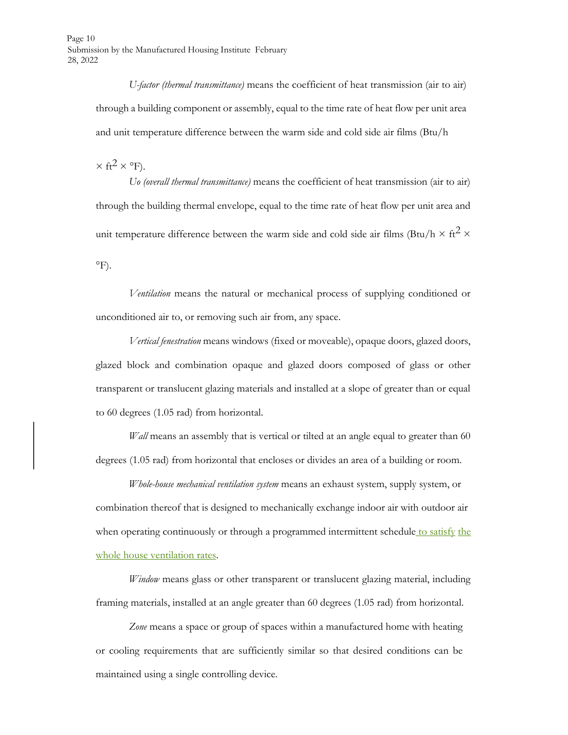*U-factor (thermal transmittance)* means the coefficient of heat transmission (air to air) through a building component or assembly, equal to the time rate of heat flow per unit area and unit temperature difference between the warm side and cold side air films (Btu/h

 $\times$  ft<sup>2</sup>  $\times$  °F).

*Uo (overall thermal transmittance)* means the coefficient of heat transmission (air to air) through the building thermal envelope, equal to the time rate of heat flow per unit area and unit temperature difference between the warm side and cold side air films (Btu/h  $\times$  ft<sup>2</sup>  $\times$  $\rm ^{\circ}F$ ).

*Ventilation* means the natural or mechanical process of supplying conditioned or unconditioned air to, or removing such air from, any space.

*Vertical fenestration* means windows (fixed or moveable), opaque doors, glazed doors, glazed block and combination opaque and glazed doors composed of glass or other transparent or translucent glazing materials and installed at a slope of greater than or equal to 60 degrees (1.05 rad) from horizontal.

*Wall* means an assembly that is vertical or tilted at an angle equal to greater than 60 degrees (1.05 rad) from horizontal that encloses or divides an area of a building or room.

*Whole-house mechanical ventilation system* means an exhaust system, supply system, or combination thereof that is designed to mechanically exchange indoor air with outdoor air when operating continuously or through a programmed intermittent schedule to satisfy the whole house ventilation rates.

*Window* means glass or other transparent or translucent glazing material, including framing materials, installed at an angle greater than 60 degrees (1.05 rad) from horizontal.

Zone means a space or group of spaces within a manufactured home with heating or cooling requirements that are sufficiently similar so that desired conditions can be maintained using a single controlling device.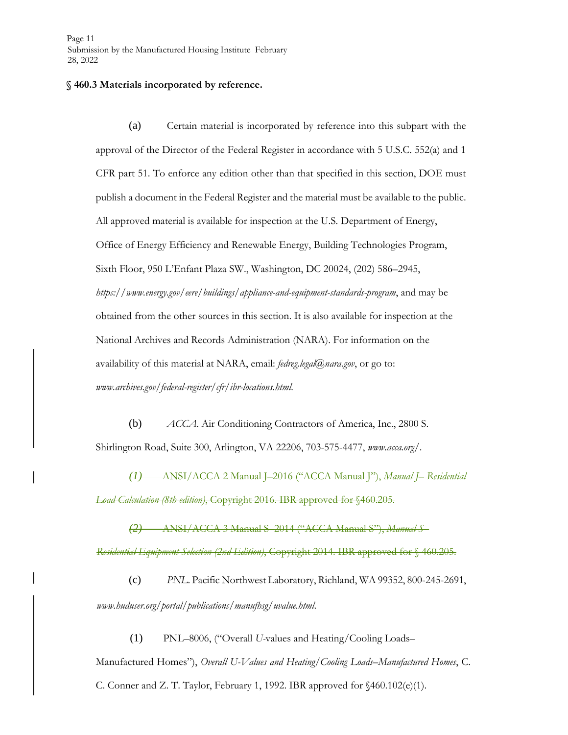#### **§ 460.3 Materials incorporated by reference.**

(a) Certain material is incorporated by reference into this subpart with the approval of the Director of the Federal Register in accordance with 5 U.S.C. 552(a) and 1 CFR part 51. To enforce any edition other than that specified in this section, DOE must publish a document in the Federal Register and the material must be available to the public. All approved material is available for inspection at the U.S. Department of Energy, Office of Energy Efficiency and Renewable Energy, Building Technologies Program, Sixth Floor, 950 L'Enfant Plaza SW., Washington, DC 20024, (202) 586–2945, *ht[tps://www.energy.g](http://www.energy.gov/eere/buildings/appliance-and-equipment-standards-program)o[v/eere/buildings/appliance-and-equipment-standards-program](http://www.energy.gov/eere/buildings/appliance-and-equipment-standards-program)*[,](http://www.energy.gov/eere/buildings/appliance-and-equipment-standards-program) and may be obtained from the other sources in this section. It is also available for inspection at the National Archives and Records Administration (NARA). For information on the availability of this material at NARA, email: *fedreg.legal@nara.gov*, or go to[:](http://www.archives.gov/federal-register/cfr/ibr-locations.html) *[www.archives.gov/federal-register/cfr/ibr-locations.html.](http://www.archives.gov/federal-register/cfr/ibr-locations.html)*

(b) *ACCA*. Air Conditioning Contractors of America, Inc., 2800 S. Shirlington Road, Suite 300, Arlington, VA 22206, 703-575-4477, *[www.acca.org](http://www.acca.org/)*[/.](http://www.acca.org/)

*(1)* ANSI/ACCA 2 Manual J–2016 ("ACCA Manual J"), *Manual J– Residential Load Calculation (8th edition)*, Copyright 2016. IBR approved for §460.205*.*

*(2)* ANSI/ACCA 3 Manual S–2014 ("ACCA Manual S"), *Manual S– Residential Equipment Selection (2nd Edition)*, Copyright 2014. IBR approved for § 460.205.

(c) *PNL*. Pacific Northwest Laboratory, Richland, WA 99352, 800-245-2691, *[www.huduser.org/portal/publications/manufhsg/uvalue.html](http://www.huduser.org/portal/publications/manufhsg/uvalue.html)*[.](http://www.huduser.org/portal/publications/manufhsg/uvalue.html)

(1) PNL–8006, ("Overall *U-*values and Heating/Cooling Loads–

Manufactured Homes"), *Overall U-Values and Heating/Cooling Loads–Manufactured Homes*, C.

C. Conner and Z. T. Taylor, February 1, 1992. IBR approved for  $$460.102(e)(1)$ .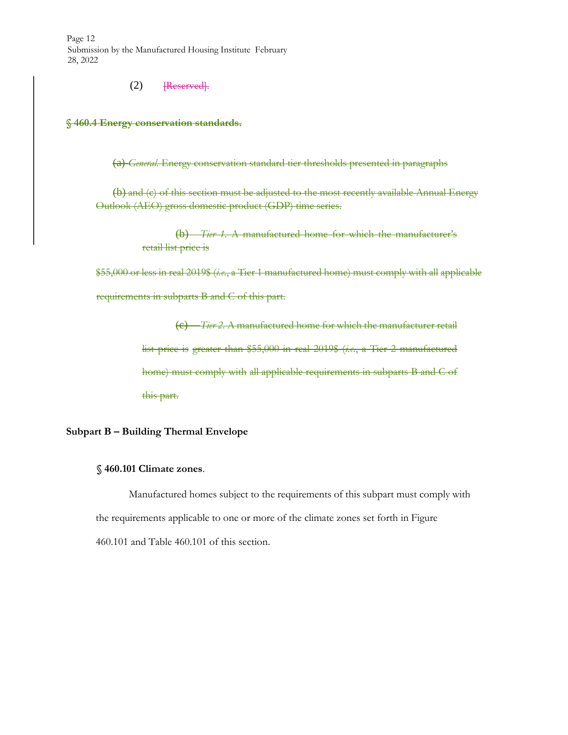Page 12 Submission by the Manufactured Housing Institute February 28, 2022

 $(2)$  [Reserved].

**§ 460.4 Energy conservation standards.**

(a) *General*. Energy conservation standard tier thresholds presented in paragraphs

(b) and (c) of this section must be adjusted to the most recently available Annual Energy Outlook (AEO) gross domestic product (GDP) time series.

> (b) *Tier 1.* A manufactured home for which the manufacturer's retail list price is

\$55,000 or less in real 2019\$ (*i.e.*, a Tier 1 manufactured home) must comply with all applicable requirements in subparts B and C of this part.

> (c) *Tier 2.* A manufactured home for which the manufacturer retail list price is greater than \$55,000 in real 2019\$ (*i.e.*, a Tier 2 manufactured home) must comply with all applicable requirements in subparts B and C of this part.

#### **Subpart B – Building Thermal Envelope**

#### **§ 460.101 Climate zones**.

Manufactured homes subject to the requirements of this subpart must comply with the requirements applicable to one or more of the climate zones set forth in Figure 460.101 and Table 460.101 of this section.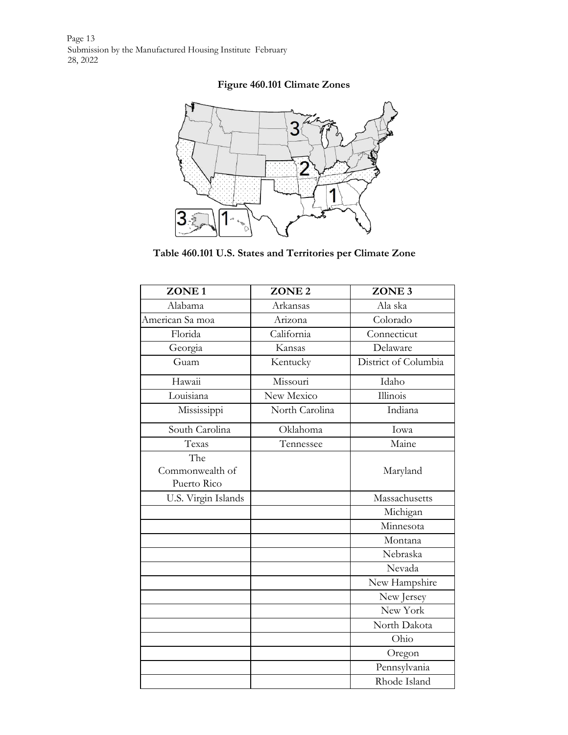Page 13 Submission by the Manufactured Housing Institute February 28, 2022

# **Figure 460.101 Climate Zones**



**Table 460.101 U.S. States and Territories per Climate Zone**

| ZONE <sub>1</sub>                     | ZONE <sub>2</sub> | ZONE <sub>3</sub>      |
|---------------------------------------|-------------------|------------------------|
| Alabama                               | Arkansas          | Ala ska                |
| American Sa moa                       | Arizona           | Colorado               |
| Florida                               | California        | Connecticut            |
| Georgia                               | Kansas            | Delaware               |
| Guam                                  | Kentucky          | District of Columbia   |
| Hawaii                                | Missouri          | Idaho                  |
| Louisiana                             | New Mexico        | $\overline{I}$ llinois |
| Mississippi                           | North Carolina    | Indiana                |
| South Carolina                        | Oklahoma          | Iowa                   |
| Texas                                 | Tennessee         | Maine                  |
| The<br>Commonwealth of<br>Puerto Rico |                   | Maryland               |
| U.S. Virgin Islands                   |                   | Massachusetts          |
|                                       |                   | Michigan               |
|                                       |                   | Minnesota              |
|                                       |                   | Montana                |
|                                       |                   | Nebraska               |
|                                       |                   | Nevada                 |
|                                       |                   | New Hampshire          |
|                                       |                   | New Jersey             |
|                                       |                   | New York               |
|                                       |                   | North Dakota           |
|                                       |                   | Ohio                   |
|                                       |                   | Oregon                 |
|                                       |                   | Pennsylvania           |
|                                       |                   | Rhode Island           |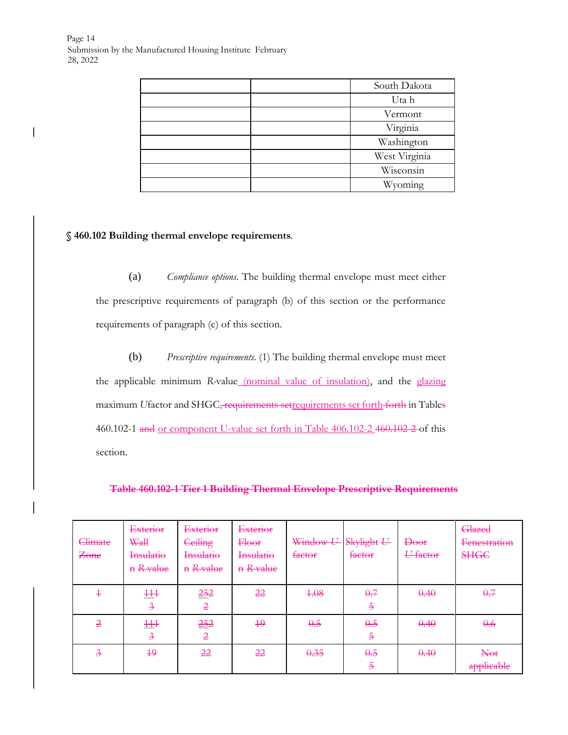$\overline{\phantom{a}}$ 

| South Dakota  |
|---------------|
| Uta h         |
| Vermont       |
| Virginia      |
| Washington    |
| West Virginia |
| Wisconsin     |
| Wyoming       |

# **§ 460.102 Building thermal envelope requirements**.

(a) *Compliance options*. The building thermal envelope must meet either the prescriptive requirements of paragraph (b) of this section or the performance requirements of paragraph (c) of this section.

(b) *Prescriptive requirements*. (1) The building thermal envelope must meet the applicable minimum *R-*value (nominal value of insulation), and the glazing maximum *U*factor and SHGC, requirements setrequirements set forth forth in Tables 460.102-1 and or component U-value set forth in Table 406.102-2 460.102-2 of this section.

**Table 460.102-1 Tier 1 Building Thermal Envelope Prescriptive Requirements**

| Climate<br>Zone          | Exterior<br><b>Wall</b><br>Insulatio<br>n R-value | <b>Exterior</b><br>Ceiling<br>Insulatio<br>n R-value | Exterior<br><b>Floor</b><br>Insulatio<br>n R-value | Window U-Skylight U-<br>factor | factor                | Doof<br>U-factor | Glazed<br>Fenestration<br><b>SHGC</b> |
|--------------------------|---------------------------------------------------|------------------------------------------------------|----------------------------------------------------|--------------------------------|-----------------------|------------------|---------------------------------------|
| $\ddagger$               | 111<br>$\overline{\mathcal{A}}$                   | 252<br>$\overline{2}$                                | 22                                                 | 4.08                           | 0.7<br>$\overline{5}$ | 0.40             | 0.7                                   |
| $\overline{2}$           | 111<br>$\overline{\mathcal{A}}$                   | 252<br>$\overline{2}$                                | 49                                                 | 0.5                            | 0.5<br>$\overline{5}$ | 0.40             | 0.6                                   |
| $\overline{\mathcal{F}}$ | $+9$                                              | 22                                                   | 22                                                 | 0.35                           | 0.5<br>$\overline{5}$ | 0.40             | <b>Not</b><br>applicable              |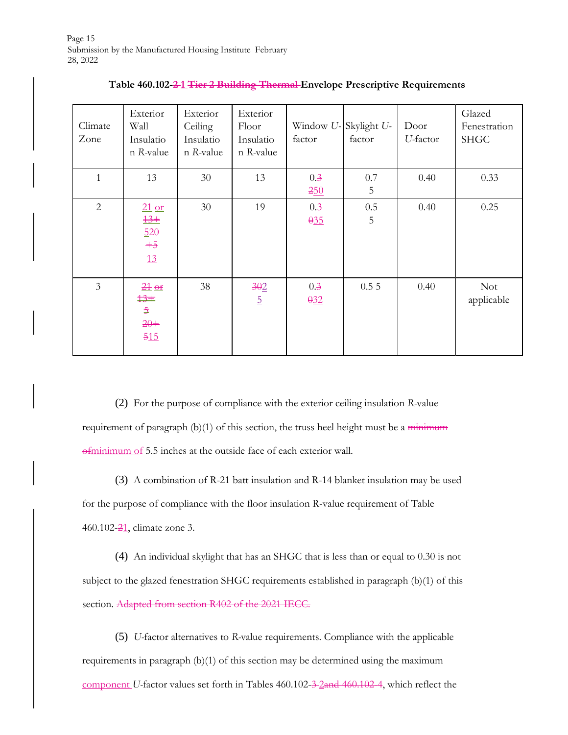| Climate<br>Zone | Exterior<br>Wall<br>Insulatio<br>n R-value                  | Exterior<br>Ceiling<br>Insulatio<br>n R-value | Exterior<br>Floor<br>Insulatio<br>n R-value | Window U-Skylight U-<br>factor | factor   | Door<br>U-factor | Glazed<br>Fenestration<br><b>SHGC</b> |
|-----------------|-------------------------------------------------------------|-----------------------------------------------|---------------------------------------------|--------------------------------|----------|------------------|---------------------------------------|
| $\mathbf{1}$    | 13                                                          | 30                                            | 13                                          | 0.3<br>250                     | 0.7<br>5 | 0.40             | 0.33                                  |
| $\overline{2}$  | $\frac{21}{2}$ or<br>$13+$<br>$\frac{520}{5}$<br>$+5$<br>13 | 30                                            | 19                                          | 0.3<br>0.35                    | 0.5<br>5 | 0.40             | 0.25                                  |
| $\overline{3}$  | $\frac{21}{2}$ or<br>13#<br>$\overline{5}$<br>$20+$<br>515  | 38                                            | 302<br>$\overline{5}$                       | 0.3<br>0.32                    | 0.55     | 0.40             | <b>Not</b><br>applicable              |

#### **Table 460.102-2 1 Tier 2 Building Thermal Envelope Prescriptive Requirements**

(2) For the purpose of compliance with the exterior ceiling insulation *R-*value requirement of paragraph  $(b)(1)$  of this section, the truss heel height must be a minimum ofminimum of 5.5 inches at the outside face of each exterior wall.

(3) A combination of R-21 batt insulation and R-14 blanket insulation may be used for the purpose of compliance with the floor insulation R-value requirement of Table 460.102-21, climate zone 3.

(4) An individual skylight that has an SHGC that is less than or equal to 0.30 is not subject to the glazed fenestration SHGC requirements established in paragraph (b)(1) of this section. Adapted from section R402 of the 2021 IECC.

(5) *U-*factor alternatives to *R-*value requirements. Compliance with the applicable requirements in paragraph (b)(1) of this section may be determined using the maximum component *U*-factor values set forth in Tables 460.102-3-2 and 460.102-4, which reflect the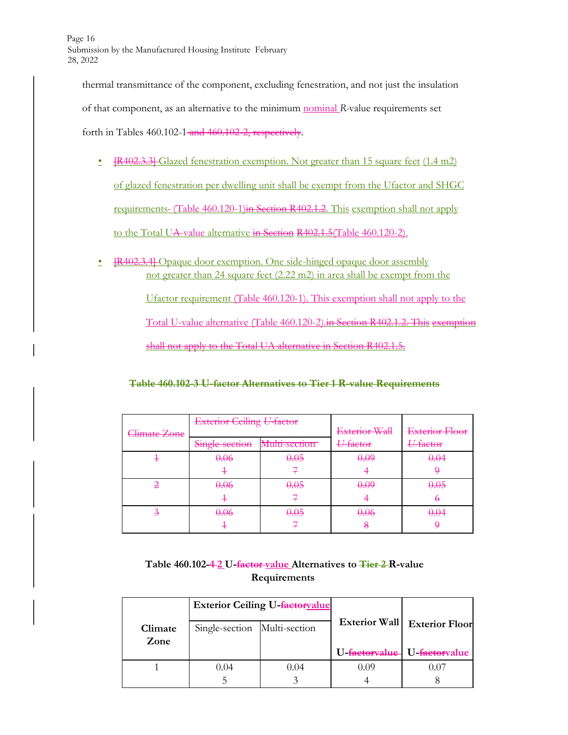thermal transmittance of the component, excluding fenestration, and not just the insulation of that component, as an alternative to the minimum nominal *R-*value requirements set forth in Tables 460.102-1-and 460.102-2, respectively.

- [R402.3.3] Glazed fenestration exemption. Not greater than 15 square feet (1.4 m2) of glazed fenestration per dwelling unit shall be exempt from the Ufactor and SHGC requirements- (Table 460.120-1)in Section R402.1.2. This exemption shall not apply to the Total UA-value alternative in Section R402.1.5(Table 460.120-2).
- **[R402.3.4]** Opaque door exemption. One side-hinged opaque door assembly not greater than 24 square feet (2.22 m2) in area shall be exempt from the Ufactor requirement (Table 460.120-1). This exemption shall not apply to the Total U-value alternative (Table 460.120-2).in Section R402.1.2. This exemption shall not apply to the Total UA alternative in Section R402.1.5.

**Table 460.102-3 U-factor Alternatives to Tier 1 R-value Requirements**

|                         | <b>Exterior Ceiling U-factor</b> |               | Exterior Wall | Exterior Floor      |
|-------------------------|----------------------------------|---------------|---------------|---------------------|
| <del>Climate Zone</del> | Single-section                   | Multi-section | U-factor      | <del>U-factor</del> |
|                         | 0.06                             | 0.05          | 0.09          | 0.04                |
|                         |                                  |               |               |                     |
|                         | 0.06                             | 0.05          | 0.09          | 0.05                |
|                         |                                  |               |               |                     |
| ∍                       | 0.06                             | 0.05          | 0.06          | <del>0.04</del>     |
|                         |                                  |               | ヮ             |                     |

# **Table 460.102-4 2 U-factor value Alternatives to Tier 2 R-value Requirements**

|                 |                              | <b>Exterior Ceiling U-factoryalue</b> |               |                             |
|-----------------|------------------------------|---------------------------------------|---------------|-----------------------------|
| Climate<br>Zone | Single-section Multi-section |                                       | Exterior Wall | <b>Exterior Floor</b>       |
|                 |                              |                                       |               | U-factoryalue U-factoryalue |
|                 | 0.04                         | 0.04                                  | 0.09          | (11)                        |
|                 |                              |                                       |               |                             |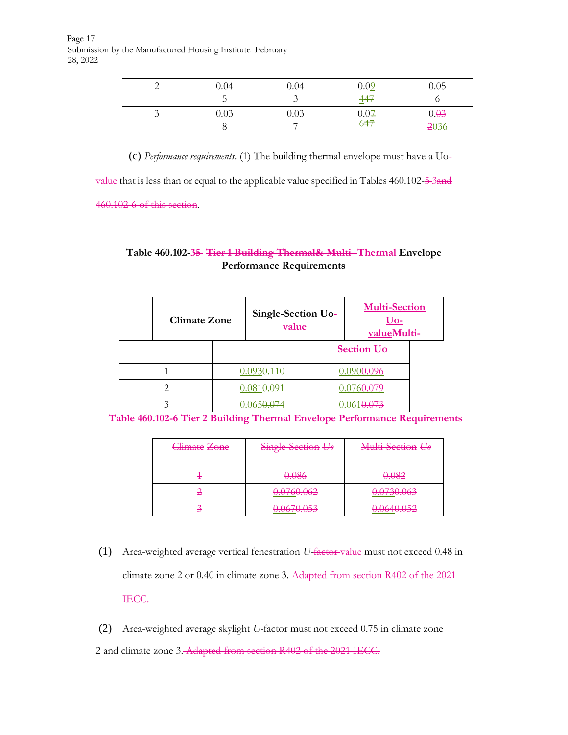Page 17 Submission by the Manufactured Housing Institute February 28, 2022

|         | 0.04 | 0.04 | 0.02                      | 0.05 |
|---------|------|------|---------------------------|------|
|         | ◡    |      | 447                       |      |
| $\cdot$ | 0.03 | 0.03 | $0.07$<br>6 <del>47</del> | 0.03 |
|         |      |      |                           | 2036 |

(c) *Performance requirements*. (1) The building thermal envelope must have a Uo-

value that is less than or equal to the applicable value specified in Tables  $460.102 - \frac{5}{2}$ and

460.102-6 of this section.

# **Table 460.102-35 Tier 1 Building Thermal& Multi- Thermal Envelope Performance Requirements**

| <b>Climate Zone</b> |  | Single-Section Uo-<br>value | <b>Multi-Section</b><br><u>Uo-</u><br>value <del>Multi-</del> |  |
|---------------------|--|-----------------------------|---------------------------------------------------------------|--|
|                     |  |                             | Section Uo                                                    |  |
|                     |  | 0.0930.110                  | 0 090 <del>0 096</del>                                        |  |
|                     |  | 0.0810.094                  |                                                               |  |
|                     |  |                             |                                                               |  |

**Table 460.102-6 Tier 2 Building Thermal Envelope Performance Requirements**

| Climate Zone | Single-Section Uo                   | Multi-Section Uo                           |
|--------------|-------------------------------------|--------------------------------------------|
|              | 0.086                               | 0.082                                      |
|              | 0.0760.062<br><del>0.0700.00∠</del> | 0.0730.063<br><del>0.0730.003</del>        |
|              | 0.0670.052<br><del>0.0070.033</del> | 0.0640.052<br><del>0.0010.0<i>32</i></del> |

(1) Area-weighted average vertical fenestration *U-*factor value must not exceed 0.48 in climate zone 2 or 0.40 in climate zone 3. Adapted from section R402 of the 2021 IECC.

(2) Area-weighted average skylight *U-*factor must not exceed 0.75 in climate zone 2 and climate zone 3. Adapted from section R402 of the 2021 IECC.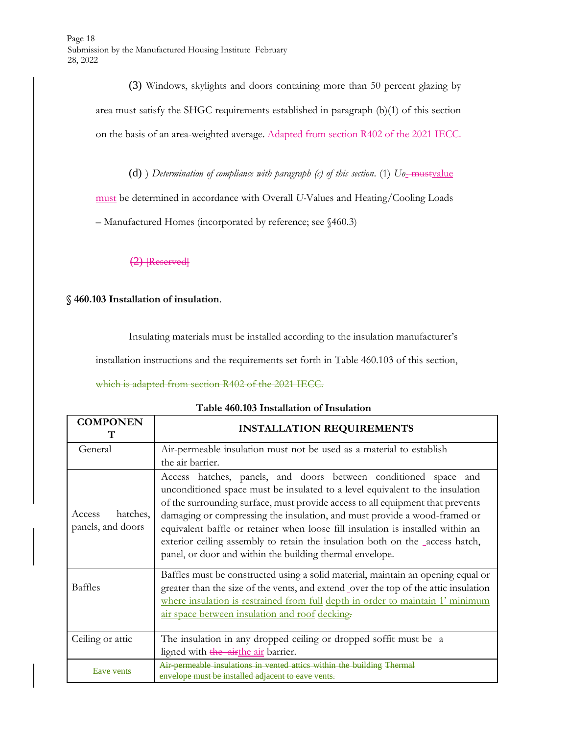(3) Windows, skylights and doors containing more than 50 percent glazing by area must satisfy the SHGC requirements established in paragraph (b)(1) of this section on the basis of an area-weighted average. Adapted from section R402 of the 2021 IECC.

(d) ) *Determination of compliance with paragraph (c) of this section.* (1)  $U_0$ -mustvalue

must be determined in accordance with Overall *U-*Values and Heating/Cooling Loads

– Manufactured Homes (incorporated by reference; see §460.3)

 $(2)$  [Reserved]

**§ 460.103 Installation of insulation**.

Insulating materials must be installed according to the insulation manufacturer's

installation instructions and the requirements set forth in Table 460.103 of this section,

which is adapted from section R402 of the 2021 IECC.

| Table 460.103 Installation of Insulation |  |  |
|------------------------------------------|--|--|
|------------------------------------------|--|--|

| <b>COMPONEN</b>                         | <b>INSTALLATION REQUIREMENTS</b>                                                                                                                                                                                                                                                                                                                                                                                                                                                                                                               |
|-----------------------------------------|------------------------------------------------------------------------------------------------------------------------------------------------------------------------------------------------------------------------------------------------------------------------------------------------------------------------------------------------------------------------------------------------------------------------------------------------------------------------------------------------------------------------------------------------|
| General                                 | Air-permeable insulation must not be used as a material to establish<br>the air barrier.                                                                                                                                                                                                                                                                                                                                                                                                                                                       |
| hatches,<br>Access<br>panels, and doors | Access hatches, panels, and doors between conditioned space and<br>unconditioned space must be insulated to a level equivalent to the insulation<br>of the surrounding surface, must provide access to all equipment that prevents<br>damaging or compressing the insulation, and must provide a wood-framed or<br>equivalent baffle or retainer when loose fill insulation is installed within an<br>exterior ceiling assembly to retain the insulation both on the access hatch,<br>panel, or door and within the building thermal envelope. |
| <b>Baffles</b>                          | Baffles must be constructed using a solid material, maintain an opening equal or<br>greater than the size of the vents, and extend _over the top of the attic insulation<br>where insulation is restrained from full depth in order to maintain 1' minimum<br>air space between insulation and roof decking.                                                                                                                                                                                                                                   |
| Ceiling or attic                        | The insulation in any dropped ceiling or dropped soffit must be a<br>ligned with the airthe air barrier.                                                                                                                                                                                                                                                                                                                                                                                                                                       |
| <u>Java van</u>                         | Air permeable insulations in vented attics within the building Thermal<br>envelope must be installed adiacent to eave vents.                                                                                                                                                                                                                                                                                                                                                                                                                   |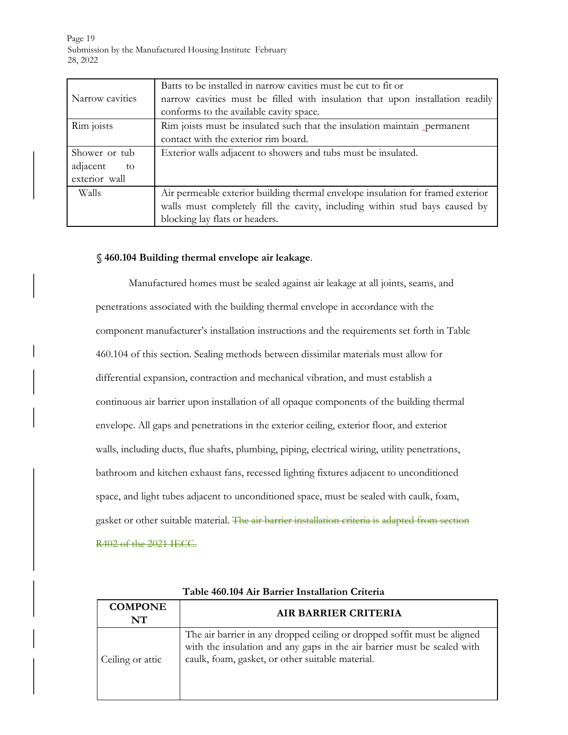Page 19 Submission by the Manufactured Housing Institute February 28, 2022

| Narrow cavities | Batts to be installed in narrow cavities must be cut to fit or<br>narrow cavities must be filled with insulation that upon installation readily<br>conforms to the available cavity space. |
|-----------------|--------------------------------------------------------------------------------------------------------------------------------------------------------------------------------------------|
| Rim joists      | Rim joists must be insulated such that the insulation maintain permanent                                                                                                                   |
|                 | contact with the exterior rim board.                                                                                                                                                       |
| Shower or tub   | Exterior walls adjacent to showers and tubs must be insulated.                                                                                                                             |
| adjacent<br>to  |                                                                                                                                                                                            |
| exterior wall   |                                                                                                                                                                                            |
| Walls           | Air permeable exterior building thermal envelope insulation for framed exterior                                                                                                            |
|                 | walls must completely fill the cavity, including within stud bays caused by                                                                                                                |
|                 | blocking lay flats or headers.                                                                                                                                                             |

#### **§ 460.104 Building thermal envelope air leakage**.

Manufactured homes must be sealed against air leakage at all joints, seams, and penetrations associated with the building thermal envelope in accordance with the component manufacturer's installation instructions and the requirements set forth in Table 460.104 of this section. Sealing methods between dissimilar materials must allow for differential expansion, contraction and mechanical vibration, and must establish a continuous air barrier upon installation of all opaque components of the building thermal envelope. All gaps and penetrations in the exterior ceiling, exterior floor, and exterior walls, including ducts, flue shafts, plumbing, piping, electrical wiring, utility penetrations, bathroom and kitchen exhaust fans, recessed lighting fixtures adjacent to unconditioned space, and light tubes adjacent to unconditioned space, must be sealed with caulk, foam, gasket or other suitable material. The air barrier installation criteria is adapted from section R402 of the 2021 IECC.

| Tabic ToolivT All Danilei Instantiivit Chitena |                                                                                                                                                                                                         |  |  |  |  |  |  |
|------------------------------------------------|---------------------------------------------------------------------------------------------------------------------------------------------------------------------------------------------------------|--|--|--|--|--|--|
| <b>COMPONE</b><br>NT                           | <b>AIR BARRIER CRITERIA</b>                                                                                                                                                                             |  |  |  |  |  |  |
| Ceiling or attic                               | The air barrier in any dropped ceiling or dropped soffit must be aligned<br>with the insulation and any gaps in the air barrier must be sealed with<br>caulk, foam, gasket, or other suitable material. |  |  |  |  |  |  |

**Table 460.104 Air Barrier Installation Criteria**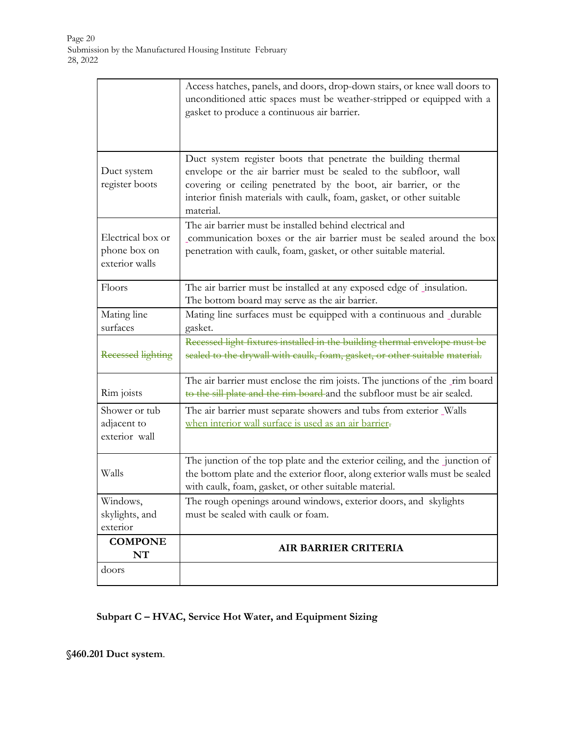|                                                     | Access hatches, panels, and doors, drop-down stairs, or knee wall doors to<br>unconditioned attic spaces must be weather-stripped or equipped with a<br>gasket to produce a continuous air barrier.                                                                                         |
|-----------------------------------------------------|---------------------------------------------------------------------------------------------------------------------------------------------------------------------------------------------------------------------------------------------------------------------------------------------|
| Duct system<br>register boots                       | Duct system register boots that penetrate the building thermal<br>envelope or the air barrier must be sealed to the subfloor, wall<br>covering or ceiling penetrated by the boot, air barrier, or the<br>interior finish materials with caulk, foam, gasket, or other suitable<br>material. |
| Electrical box or<br>phone box on<br>exterior walls | The air barrier must be installed behind electrical and<br>communication boxes or the air barrier must be sealed around the box<br>penetration with caulk, foam, gasket, or other suitable material.                                                                                        |
| Floors                                              | The air barrier must be installed at any exposed edge of _insulation.<br>The bottom board may serve as the air barrier.                                                                                                                                                                     |
| Mating line<br>surfaces                             | Mating line surfaces must be equipped with a continuous and _durable<br>gasket.                                                                                                                                                                                                             |
| <b>Recessed lighting</b>                            | Recessed light fixtures installed in the building thermal envelope must be<br>sealed to the drywall with caulk, foam, gasket, or other suitable material.                                                                                                                                   |
| Rim joists                                          | The air barrier must enclose the rim joists. The junctions of the _rim board<br>to the sill plate and the rim board and the subfloor must be air sealed.                                                                                                                                    |
| Shower or tub<br>adjacent to<br>exterior wall       | The air barrier must separate showers and tubs from exterior Walls<br>when interior wall surface is used as an air barrier-                                                                                                                                                                 |
| Walls                                               | The junction of the top plate and the exterior ceiling, and the junction of<br>the bottom plate and the exterior floor, along exterior walls must be sealed<br>with caulk, foam, gasket, or other suitable material.                                                                        |
| Windows,<br>skylights, and<br>exterior              | The rough openings around windows, exterior doors, and skylights<br>must be sealed with caulk or foam.                                                                                                                                                                                      |
| <b>COMPONE</b><br>NT                                | <b>AIR BARRIER CRITERIA</b>                                                                                                                                                                                                                                                                 |
| doors                                               |                                                                                                                                                                                                                                                                                             |

# **Subpart C – HVAC, Service Hot Water, and Equipment Sizing**

**§460.201 Duct system**.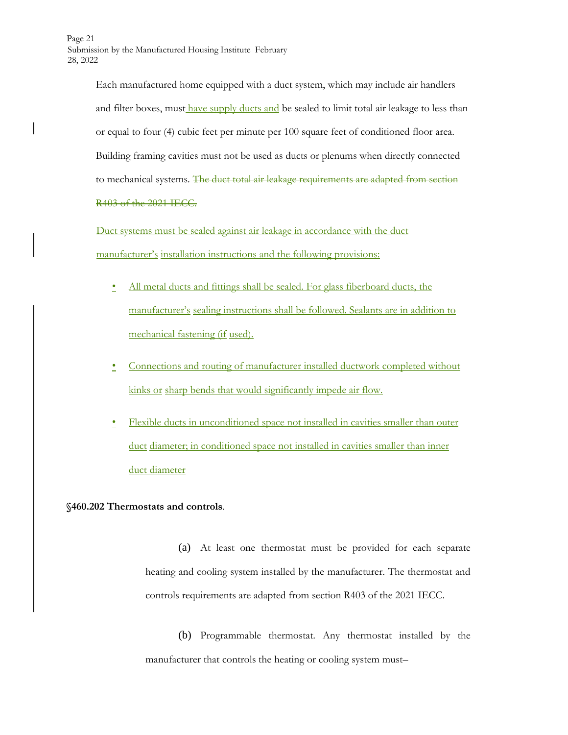Page 21 Submission by the Manufactured Housing Institute February 28, 2022

> Each manufactured home equipped with a duct system, which may include air handlers and filter boxes, must have supply ducts and be sealed to limit total air leakage to less than or equal to four (4) cubic feet per minute per 100 square feet of conditioned floor area. Building framing cavities must not be used as ducts or plenums when directly connected to mechanical systems. The duct total air leakage requirements are adapted from section R403 of the 2021 IECC.

Duct systems must be sealed against air leakage in accordance with the duct manufacturer's installation instructions and the following provisions:

- All metal ducts and fittings shall be sealed. For glass fiberboard ducts, the manufacturer's sealing instructions shall be followed. Sealants are in addition to mechanical fastening (if used).
- Connections and routing of manufacturer installed ductwork completed without kinks or sharp bends that would significantly impede air flow.
- Flexible ducts in unconditioned space not installed in cavities smaller than outer duct diameter; in conditioned space not installed in cavities smaller than inner duct diameter

# **§460.202 Thermostats and controls**.

(a) At least one thermostat must be provided for each separate heating and cooling system installed by the manufacturer. The thermostat and controls requirements are adapted from section R403 of the 2021 IECC.

(b) Programmable thermostat. Any thermostat installed by the manufacturer that controls the heating or cooling system must–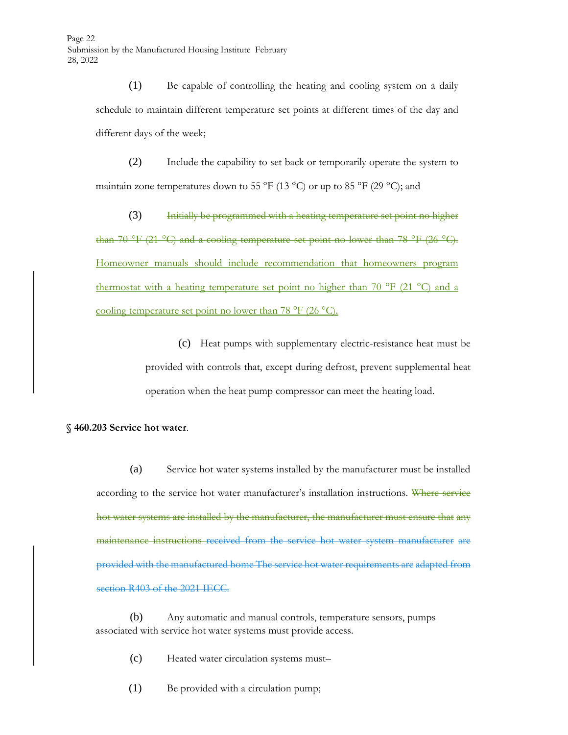(1) Be capable of controlling the heating and cooling system on a daily schedule to maintain different temperature set points at different times of the day and different days of the week;

(2) Include the capability to set back or temporarily operate the system to maintain zone temperatures down to 55  $^{\circ}$ F (13  $^{\circ}$ C) or up to 85  $^{\circ}$ F (29  $^{\circ}$ C); and

(3) Initially be programmed with a heating temperature set point no higher than 70 °F (21 °C) and a cooling temperature set point no lower than 78 °F (26 °C). Homeowner manuals should include recommendation that homeowners program thermostat with a heating temperature set point no higher than 70  $\rm{^{\circ}F}$  (21  $\rm{^{\circ}C}$ ) and a cooling temperature set point no lower than 78 °F (26 °C).

> (c) Heat pumps with supplementary electric-resistance heat must be provided with controls that, except during defrost, prevent supplemental heat operation when the heat pump compressor can meet the heating load.

#### **§ 460.203 Service hot water**.

(a) Service hot water systems installed by the manufacturer must be installed according to the service hot water manufacturer's installation instructions. Where service hot water systems are installed by the manufacturer, the manufacturer must ensure that any maintenance instructions received from the service hot water system manufacturer are provided with the manufactured home The service hot water requirements are adapted from section R403 of the 2021 IECC.

(b) Any automatic and manual controls, temperature sensors, pumps associated with service hot water systems must provide access.

(c) Heated water circulation systems must–

(1) Be provided with a circulation pump;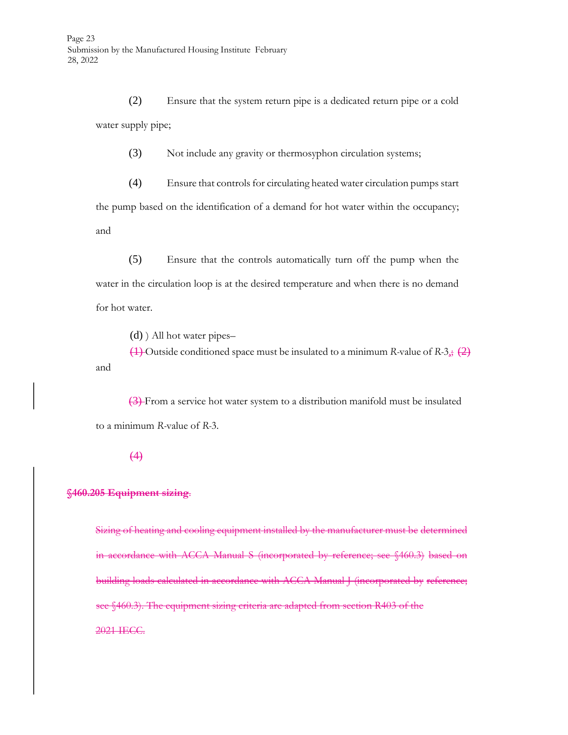(2) Ensure that the system return pipe is a dedicated return pipe or a cold water supply pipe;

(3) Not include any gravity or thermosyphon circulation systems;

(4) Ensure that controls for circulating heated water circulation pumps start the pump based on the identification of a demand for hot water within the occupancy; and

(5) Ensure that the controls automatically turn off the pump when the water in the circulation loop is at the desired temperature and when there is no demand for hot water.

(d) ) All hot water pipes–

(1) Outside conditioned space must be insulated to a minimum *R-*value of *R-*3,; (2) and

(3) From a service hot water system to a distribution manifold must be insulated to a minimum *R-*value of *R-*3.

#### $(4)$

#### **§460.205 Equipment sizing**.

Sizing of heating and cooling equipment installed by the manufacturer must be determined in accordance with ACCA Manual S (incorporated by reference; see §460.3) based on building loads calculated in accordance with ACCA Manual J (incorporated by reference; see §460.3). The equipment sizing criteria are adapted from section R403 of the 2021 IECC.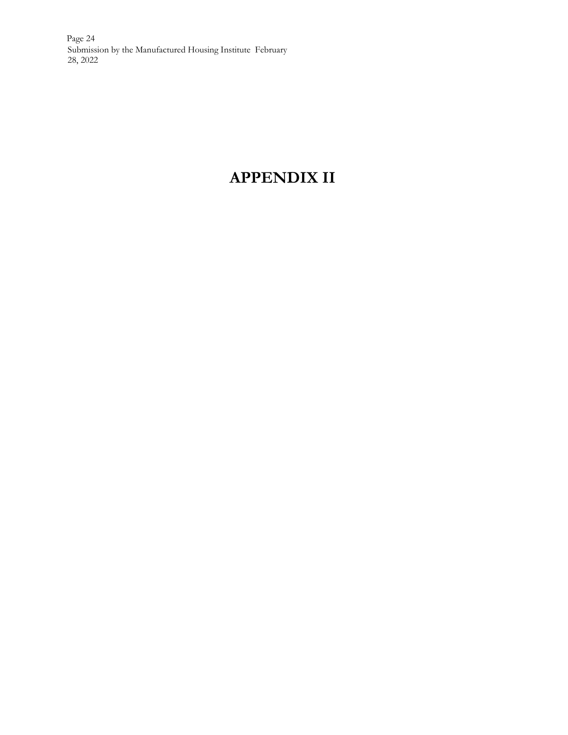Page 24 Submission by the Manufactured Housing Institute February 28, 2022

# **APPENDIX II**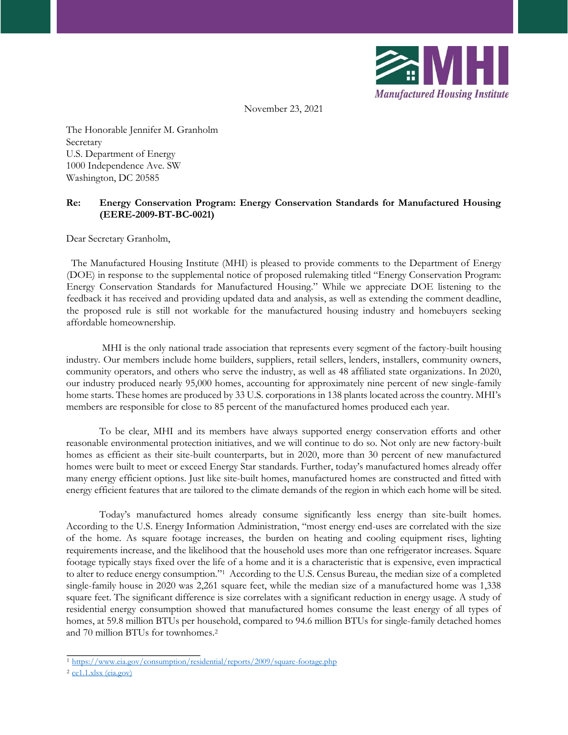

November 23, 2021

The Honorable Jennifer M. Granholm Secretary U.S. Department of Energy 1000 Independence Ave. SW Washington, DC 20585

#### **Re: Energy Conservation Program: Energy Conservation Standards for Manufactured Housing (EERE-2009-BT-BC-0021)**

Dear Secretary Granholm,

 The Manufactured Housing Institute (MHI) is pleased to provide comments to the Department of Energy (DOE) in response to the supplemental notice of proposed rulemaking titled "Energy Conservation Program: Energy Conservation Standards for Manufactured Housing." While we appreciate DOE listening to the feedback it has received and providing updated data and analysis, as well as extending the comment deadline, the proposed rule is still not workable for the manufactured housing industry and homebuyers seeking affordable homeownership.

MHI is the only national trade association that represents every segment of the factory-built housing industry. Our members include home builders, suppliers, retail sellers, lenders, installers, community owners, community operators, and others who serve the industry, as well as 48 affiliated state organizations. In 2020, our industry produced nearly 95,000 homes, accounting for approximately nine percent of new single-family home starts. These homes are produced by 33 U.S. corporations in 138 plants located across the country. MHI's members are responsible for close to 85 percent of the manufactured homes produced each year.

To be clear, MHI and its members have always supported energy conservation efforts and other reasonable environmental protection initiatives, and we will continue to do so. Not only are new factory-built homes as efficient as their site-built counterparts, but in 2020, more than 30 percent of new manufactured homes were built to meet or exceed Energy Star standards. Further, today's manufactured homes already offer many energy efficient options. Just like site-built homes, manufactured homes are constructed and fitted with energy efficient features that are tailored to the climate demands of the region in which each home will be sited.

Today's manufactured homes already consume significantly less energy than site-built homes. According to the U.S. Energy Information Administration, "most energy end-uses are correlated with the size of the home. As square footage increases, the burden on heating and cooling equipment rises, lighting requirements increase, and the likelihood that the household uses more than one refrigerator increases. Square footage typically stays fixed over the life of a home and it is a characteristic that is expensive, even impractical to alter to reduce energy consumption."<sup>1</sup> According to the U.S. Census Bureau, the median size of a completed single-family house in 2020 was 2,261 square feet, while the median size of a manufactured home was 1,338 square feet. The significant difference is size correlates with a significant reduction in energy usage. A study of residential energy consumption showed that manufactured homes consume the least energy of all types of homes, at 59.8 million BTUs per household, compared to 94.6 million BTUs for single-family detached homes and 70 million BTUs for townhomes.<sup>2</sup>

<sup>1</sup> <https://www.eia.gov/consumption/residential/reports/2009/square-footage.php>

<sup>2</sup> [ce1.1.xlsx \(eia.gov\)](https://www.eia.gov/consumption/residential/data/2015/c%26e/pdf/ce1.1.pdf)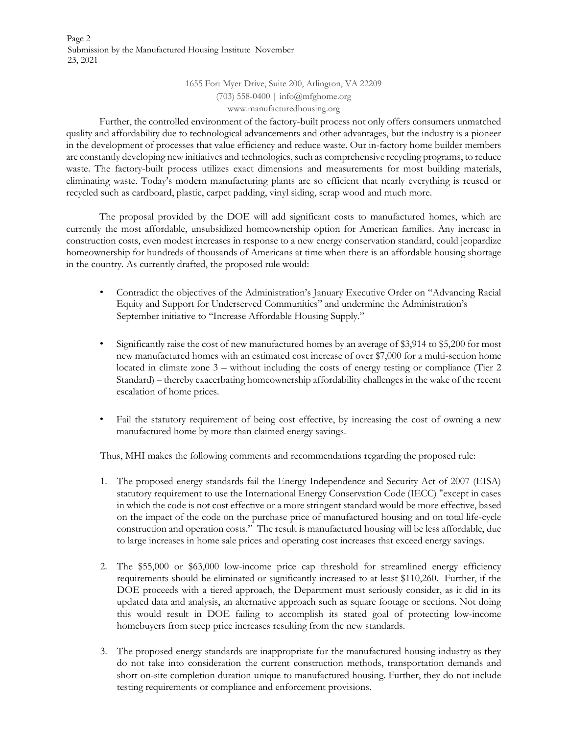Page 2 Submission by the Manufactured Housing Institute November 23, 2021

> 1655 Fort Myer Drive, Suite 200, Arlington, VA 22209 (703) 558-0400 | info@mfghome.org www.manufacturedhousing.org

Further, the controlled environment of the factory-built process not only offers consumers unmatched quality and affordability due to technological advancements and other advantages, but the industry is a pioneer in the development of processes that value efficiency and reduce waste. Our in-factory home builder members are constantly developing new initiatives and technologies, such as comprehensive recycling programs, to reduce waste. The factory-built process utilizes exact dimensions and measurements for most building materials, eliminating waste. Today's modern manufacturing plants are so efficient that nearly everything is reused or recycled such as cardboard, plastic, carpet padding, vinyl siding, scrap wood and much more.

The proposal provided by the DOE will add significant costs to manufactured homes, which are currently the most affordable, unsubsidized homeownership option for American families. Any increase in construction costs, even modest increases in response to a new energy conservation standard, could jeopardize homeownership for hundreds of thousands of Americans at time when there is an affordable housing shortage in the country. As currently drafted, the proposed rule would:

- Contradict the objectives of the Administration's January Executive Order on "Advancing Racial Equity and Support for Underserved Communities" and undermine the Administration's September initiative to "Increase Affordable Housing Supply."
- Significantly raise the cost of new manufactured homes by an average of \$3,914 to \$5,200 for most new manufactured homes with an estimated cost increase of over \$7,000 for a multi-section home located in climate zone 3 – without including the costs of energy testing or compliance (Tier 2 Standard) – thereby exacerbating homeownership affordability challenges in the wake of the recent escalation of home prices.
- Fail the statutory requirement of being cost effective, by increasing the cost of owning a new manufactured home by more than claimed energy savings.

Thus, MHI makes the following comments and recommendations regarding the proposed rule:

- 1. The proposed energy standards fail the Energy Independence and Security Act of 2007 (EISA) statutory requirement to use the International Energy Conservation Code (IECC) "except in cases in which the code is not cost effective or a more stringent standard would be more effective, based on the impact of the code on the purchase price of manufactured housing and on total life-cycle construction and operation costs." The result is manufactured housing will be less affordable, due to large increases in home sale prices and operating cost increases that exceed energy savings.
- 2. The \$55,000 or \$63,000 low-income price cap threshold for streamlined energy efficiency requirements should be eliminated or significantly increased to at least \$110,260. Further, if the DOE proceeds with a tiered approach, the Department must seriously consider, as it did in its updated data and analysis, an alternative approach such as square footage or sections. Not doing this would result in DOE failing to accomplish its stated goal of protecting low-income homebuyers from steep price increases resulting from the new standards.
- 3. The proposed energy standards are inappropriate for the manufactured housing industry as they do not take into consideration the current construction methods, transportation demands and short on-site completion duration unique to manufactured housing. Further, they do not include testing requirements or compliance and enforcement provisions.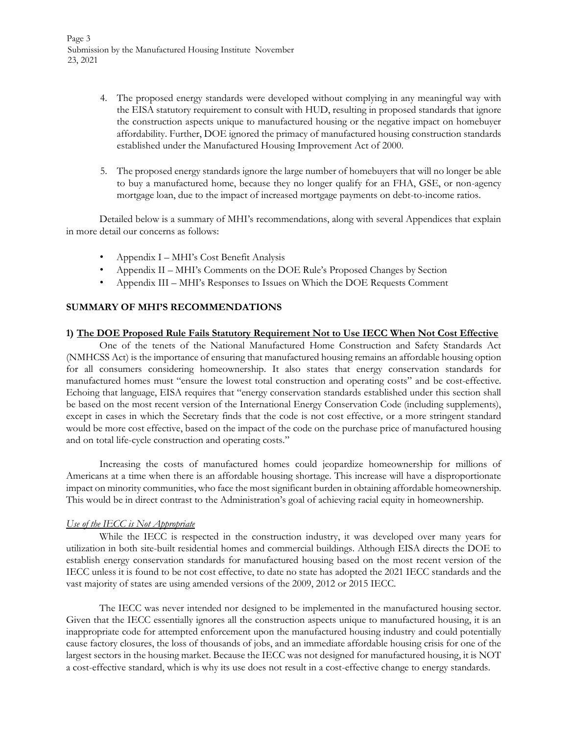- 4. The proposed energy standards were developed without complying in any meaningful way with the EISA statutory requirement to consult with HUD, resulting in proposed standards that ignore the construction aspects unique to manufactured housing or the negative impact on homebuyer affordability. Further, DOE ignored the primacy of manufactured housing construction standards established under the Manufactured Housing Improvement Act of 2000.
- 5. The proposed energy standards ignore the large number of homebuyers that will no longer be able to buy a manufactured home, because they no longer qualify for an FHA, GSE, or non-agency mortgage loan, due to the impact of increased mortgage payments on debt-to-income ratios.

Detailed below is a summary of MHI's recommendations, along with several Appendices that explain in more detail our concerns as follows:

- Appendix I MHI's Cost Benefit Analysis
- Appendix II MHI's Comments on the DOE Rule's Proposed Changes by Section
- Appendix III MHI's Responses to Issues on Which the DOE Requests Comment

#### **SUMMARY OF MHI'S RECOMMENDATIONS**

#### **1) The DOE Proposed Rule Fails Statutory Requirement Not to Use IECC When Not Cost Effective**

One of the tenets of the National Manufactured Home Construction and Safety Standards Act (NMHCSS Act) is the importance of ensuring that manufactured housing remains an affordable housing option for all consumers considering homeownership. It also states that energy conservation standards for manufactured homes must "ensure the lowest total construction and operating costs" and be cost-effective. Echoing that language, EISA requires that "energy conservation standards established under this section shall be based on the most recent version of the International Energy Conservation Code (including supplements), except in cases in which the Secretary finds that the code is not cost effective*,* or a more stringent standard would be more cost effective, based on the impact of the code on the purchase price of manufactured housing and on total life-cycle construction and operating costs."

Increasing the costs of manufactured homes could jeopardize homeownership for millions of Americans at a time when there is an affordable housing shortage. This increase will have a disproportionate impact on minority communities, who face the most significant burden in obtaining affordable homeownership. This would be in direct contrast to the Administration's goal of achieving racial equity in homeownership.

#### *Use of the IECC is Not Appropriate*

While the IECC is respected in the construction industry, it was developed over many years for utilization in both site-built residential homes and commercial buildings. Although EISA directs the DOE to establish energy conservation standards for manufactured housing based on the most recent version of the IECC unless it is found to be not cost effective, to date no state has adopted the 2021 IECC standards and the vast majority of states are using amended versions of the 2009, 2012 or 2015 IECC.

The IECC was never intended nor designed to be implemented in the manufactured housing sector. Given that the IECC essentially ignores all the construction aspects unique to manufactured housing, it is an inappropriate code for attempted enforcement upon the manufactured housing industry and could potentially cause factory closures, the loss of thousands of jobs, and an immediate affordable housing crisis for one of the largest sectors in the housing market. Because the IECC was not designed for manufactured housing, it is NOT a cost-effective standard, which is why its use does not result in a cost-effective change to energy standards.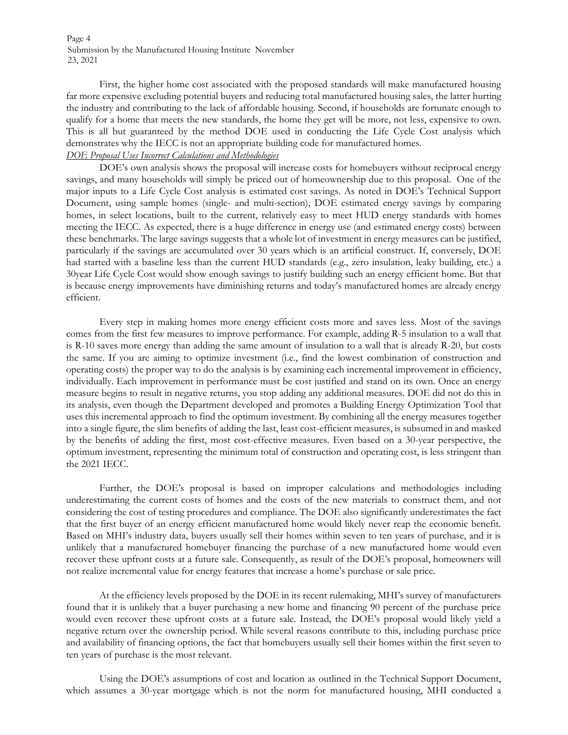Page 4 Submission by the Manufactured Housing Institute November 23, 2021

First, the higher home cost associated with the proposed standards will make manufactured housing far more expensive excluding potential buyers and reducing total manufactured housing sales, the latter hurting the industry and contributing to the lack of affordable housing. Second, if households are fortunate enough to qualify for a home that meets the new standards, the home they get will be more, not less, expensive to own. This is all but guaranteed by the method DOE used in conducting the Life Cycle Cost analysis which demonstrates why the IECC is not an appropriate building code for manufactured homes.

# *DOE Proposal Uses Incorrect Calculations and Methodologies*

DOE's own analysis shows the proposal will increase costs for homebuyers without reciprocal energy savings, and many households will simply be priced out of homeownership due to this proposal. One of the major inputs to a Life Cycle Cost analysis is estimated cost savings. As noted in DOE's Technical Support Document, using sample homes (single- and multi-section), DOE estimated energy savings by comparing homes, in select locations, built to the current, relatively easy to meet HUD energy standards with homes meeting the IECC. As expected, there is a huge difference in energy use (and estimated energy costs) between these benchmarks. The large savings suggests that a whole lot of investment in energy measures can be justified, particularly if the savings are accumulated over 30 years which is an artificial construct. If, conversely, DOE had started with a baseline less than the current HUD standards (e.g., zero insulation, leaky building, etc.) a 30year Life Cycle Cost would show enough savings to justify building such an energy efficient home. But that is because energy improvements have diminishing returns and today's manufactured homes are already energy efficient.

Every step in making homes more energy efficient costs more and saves less. Most of the savings comes from the first few measures to improve performance. For example, adding R-5 insulation to a wall that is R-10 saves more energy than adding the same amount of insulation to a wall that is already R-20, but costs the same. If you are aiming to optimize investment (i.e., find the lowest combination of construction and operating costs) the proper way to do the analysis is by examining each incremental improvement in efficiency, individually. Each improvement in performance must be cost justified and stand on its own. Once an energy measure begins to result in negative returns, you stop adding any additional measures. DOE did not do this in its analysis, even though the Department developed and promotes a Building Energy Optimization Tool that uses this incremental approach to find the optimum investment. By combining all the energy measures together into a single figure, the slim benefits of adding the last, least cost-efficient measures, is subsumed in and masked by the benefits of adding the first, most cost-effective measures. Even based on a 30-year perspective, the optimum investment, representing the minimum total of construction and operating cost, is less stringent than the 2021 IECC.

Further, the DOE's proposal is based on improper calculations and methodologies including underestimating the current costs of homes and the costs of the new materials to construct them, and not considering the cost of testing procedures and compliance. The DOE also significantly underestimates the fact that the first buyer of an energy efficient manufactured home would likely never reap the economic benefit. Based on MHI's industry data, buyers usually sell their homes within seven to ten years of purchase, and it is unlikely that a manufactured homebuyer financing the purchase of a new manufactured home would even recover these upfront costs at a future sale. Consequently, as result of the DOE's proposal, homeowners will not realize incremental value for energy features that increase a home's purchase or sale price.

At the efficiency levels proposed by the DOE in its recent rulemaking, MHI's survey of manufacturers found that it is unlikely that a buyer purchasing a new home and financing 90 percent of the purchase price would even recover these upfront costs at a future sale. Instead, the DOE's proposal would likely yield a negative return over the ownership period. While several reasons contribute to this, including purchase price and availability of financing options, the fact that homebuyers usually sell their homes within the first seven to ten years of purchase is the most relevant.

Using the DOE's assumptions of cost and location as outlined in the Technical Support Document, which assumes a 30-year mortgage which is not the norm for manufactured housing, MHI conducted a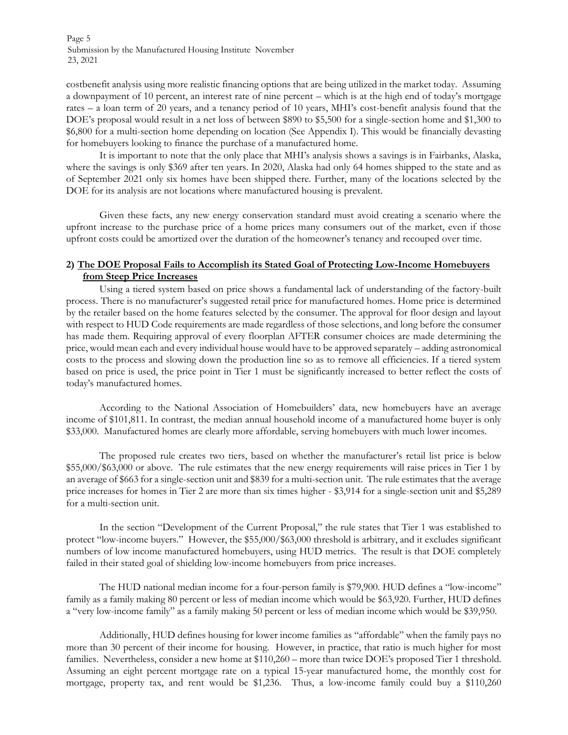Page 5 Submission by the Manufactured Housing Institute November 23, 2021

costbenefit analysis using more realistic financing options that are being utilized in the market today. Assuming a downpayment of 10 percent, an interest rate of nine percent – which is at the high end of today's mortgage rates – a loan term of 20 years, and a tenancy period of 10 years, MHI's cost-benefit analysis found that the DOE's proposal would result in a net loss of between \$890 to \$5,500 for a single-section home and \$1,300 to \$6,800 for a multi-section home depending on location (See Appendix I). This would be financially devasting for homebuyers looking to finance the purchase of a manufactured home.

It is important to note that the only place that MHI's analysis shows a savings is in Fairbanks, Alaska, where the savings is only \$369 after ten years. In 2020, Alaska had only 64 homes shipped to the state and as of September 2021 only six homes have been shipped there. Further, many of the locations selected by the DOE for its analysis are not locations where manufactured housing is prevalent.

Given these facts, any new energy conservation standard must avoid creating a scenario where the upfront increase to the purchase price of a home prices many consumers out of the market, even if those upfront costs could be amortized over the duration of the homeowner's tenancy and recouped over time.

# **2) The DOE Proposal Fails to Accomplish its Stated Goal of Protecting Low-Income Homebuyers from Steep Price Increases**

Using a tiered system based on price shows a fundamental lack of understanding of the factory-built process. There is no manufacturer's suggested retail price for manufactured homes. Home price is determined by the retailer based on the home features selected by the consumer. The approval for floor design and layout with respect to HUD Code requirements are made regardless of those selections, and long before the consumer has made them. Requiring approval of every floorplan AFTER consumer choices are made determining the price, would mean each and every individual house would have to be approved separately – adding astronomical costs to the process and slowing down the production line so as to remove all efficiencies. If a tiered system based on price is used, the price point in Tier 1 must be significantly increased to better reflect the costs of today's manufactured homes.

According to the National Association of Homebuilders' data, new homebuyers have an average income of \$101,811. In contrast, the median annual household income of a manufactured home buyer is only \$33,000. Manufactured homes are clearly more affordable, serving homebuyers with much lower incomes.

The proposed rule creates two tiers, based on whether the manufacturer's retail list price is below \$55,000/\$63,000 or above. The rule estimates that the new energy requirements will raise prices in Tier 1 by an average of \$663 for a single-section unit and \$839 for a multi-section unit. The rule estimates that the average price increases for homes in Tier 2 are more than six times higher - \$3,914 for a single-section unit and \$5,289 for a multi-section unit.

In the section "Development of the Current Proposal," the rule states that Tier 1 was established to protect "low-income buyers." However, the \$55,000/\$63,000 threshold is arbitrary, and it excludes significant numbers of low income manufactured homebuyers, using HUD metrics. The result is that DOE completely failed in their stated goal of shielding low-income homebuyers from price increases.

[The HUD national median income for a four-person family is \\$79,900.](https://www.huduser.gov/portal/datasets/il/il21/HUD-sec236-2021.pdf) HUD defines a "low-income" family as a family making 80 percent or less of median income which would be \$63,920. Further, HUD defines a "very low-income family" as a family making 50 percent or less of median income which would be \$39,950.

Additionally, HUD defines housing for lower income families as "affordable" when the family pays no more than 30 percent of their income for housing. However, in practice, that ratio is much higher for most families. Nevertheless, consider a new home at \$110,260 – more than twice DOE's proposed Tier 1 threshold. Assuming an eight percent mortgage rate on a typical 15-year manufactured home, the monthly cost for mortgage, property tax, and rent would be \$1,236. Thus, a low-income family could buy a \$110,260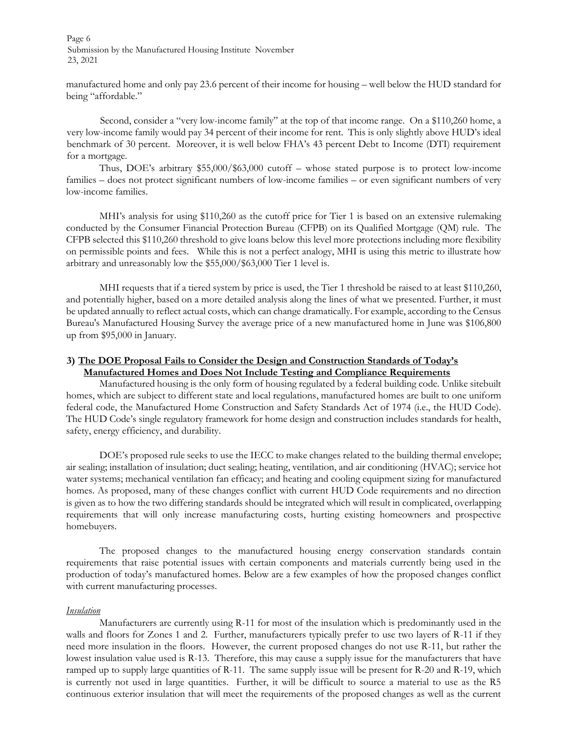Page 6 Submission by the Manufactured Housing Institute November 23, 2021

manufactured home and only pay 23.6 percent of their income for housing – well below the HUD standard for being "affordable."

Second, consider a "very low-income family" at the top of that income range. On a \$110,260 home, a very low-income family would pay 34 percent of their income for rent. This is only slightly above HUD's ideal benchmark of 30 percent. Moreover, it is well below FHA's 43 percent Debt to Income (DTI) requirement for a mortgage.

Thus, DOE's arbitrary \$55,000/\$63,000 cutoff – whose stated purpose is to protect low-income families – does not protect significant numbers of low-income families – or even significant numbers of very low-income families.

MHI's analysis for using \$110,260 as the cutoff price for Tier 1 is based on an extensive rulemaking conducted by the Consumer Financial Protection Bureau (CFPB) on its Qualified Mortgage (QM) rule. The CFPB selected this \$110,260 threshold to give loans below this level more protections including more flexibility on permissible points and fees. While this is not a perfect analogy, MHI is using this metric to illustrate how arbitrary and unreasonably low the \$55,000/\$63,000 Tier 1 level is.

MHI requests that if a tiered system by price is used, the Tier 1 threshold be raised to at least \$110,260, and potentially higher, based on a more detailed analysis along the lines of what we presented. Further, it must be updated annually to reflect actual costs, which can change dramatically. For example, according to the Census Bureau's Manufactured Housing Survey the average price of a new manufactured home in June was \$106,800 up from \$95,000 in January.

# **3) The DOE Proposal Fails to Consider the Design and Construction Standards of Today's Manufactured Homes and Does Not Include Testing and Compliance Requirements**

Manufactured housing is the only form of housing regulated by a federal building code. Unlike sitebuilt homes, which are subject to different state and local regulations, manufactured homes are built to one uniform federal code, the Manufactured Home Construction and Safety Standards Act of 1974 (i.e., the HUD Code). The HUD Code's single regulatory framework for home design and construction includes standards for health, safety, energy efficiency, and durability.

DOE's proposed rule seeks to use the IECC to make changes related to the building thermal envelope; air sealing; installation of insulation; duct sealing; heating, ventilation, and air conditioning (HVAC); service hot water systems; mechanical ventilation fan efficacy; and heating and cooling equipment sizing for manufactured homes. As proposed, many of these changes conflict with current HUD Code requirements and no direction is given as to how the two differing standards should be integrated which will result in complicated, overlapping requirements that will only increase manufacturing costs, hurting existing homeowners and prospective homebuyers.

The proposed changes to the manufactured housing energy conservation standards contain requirements that raise potential issues with certain components and materials currently being used in the production of today's manufactured homes. Below are a few examples of how the proposed changes conflict with current manufacturing processes.

#### *Insulation*

Manufacturers are currently using R-11 for most of the insulation which is predominantly used in the walls and floors for Zones 1 and 2. Further, manufacturers typically prefer to use two layers of R-11 if they need more insulation in the floors. However, the current proposed changes do not use R-11, but rather the lowest insulation value used is R-13. Therefore, this may cause a supply issue for the manufacturers that have ramped up to supply large quantities of R-11. The same supply issue will be present for R-20 and R-19, which is currently not used in large quantities. Further, it will be difficult to source a material to use as the R5 continuous exterior insulation that will meet the requirements of the proposed changes as well as the current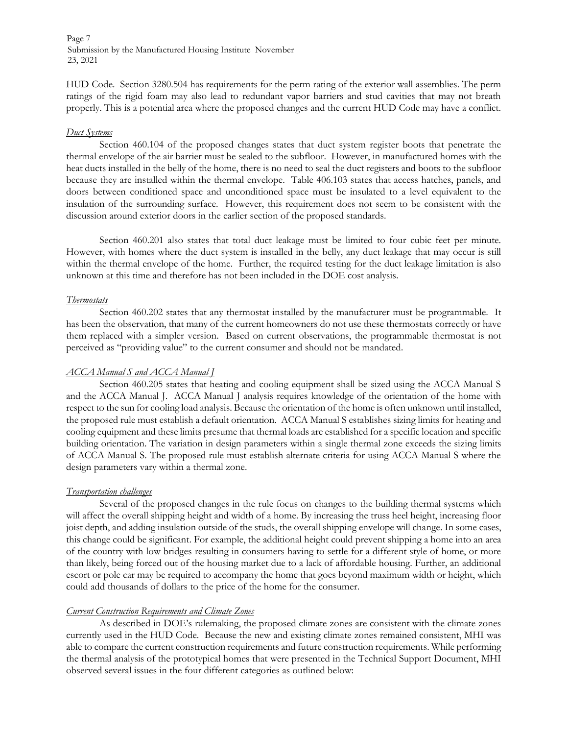Page 7 Submission by the Manufactured Housing Institute November 23, 2021

HUD Code. Section 3280.504 has requirements for the perm rating of the exterior wall assemblies. The perm ratings of the rigid foam may also lead to redundant vapor barriers and stud cavities that may not breath properly. This is a potential area where the proposed changes and the current HUD Code may have a conflict.

#### *Duct Systems*

Section 460.104 of the proposed changes states that duct system register boots that penetrate the thermal envelope of the air barrier must be sealed to the subfloor. However, in manufactured homes with the heat ducts installed in the belly of the home, there is no need to seal the duct registers and boots to the subfloor because they are installed within the thermal envelope. Table 406.103 states that access hatches, panels, and doors between conditioned space and unconditioned space must be insulated to a level equivalent to the insulation of the surrounding surface. However, this requirement does not seem to be consistent with the discussion around exterior doors in the earlier section of the proposed standards.

Section 460.201 also states that total duct leakage must be limited to four cubic feet per minute. However, with homes where the duct system is installed in the belly, any duct leakage that may occur is still within the thermal envelope of the home. Further, the required testing for the duct leakage limitation is also unknown at this time and therefore has not been included in the DOE cost analysis.

#### *Thermostats*

Section 460.202 states that any thermostat installed by the manufacturer must be programmable. It has been the observation, that many of the current homeowners do not use these thermostats correctly or have them replaced with a simpler version. Based on current observations, the programmable thermostat is not perceived as "providing value" to the current consumer and should not be mandated.

#### *ACCA Manual S and ACCA Manual J*

Section 460.205 states that heating and cooling equipment shall be sized using the ACCA Manual S and the ACCA Manual J. ACCA Manual J analysis requires knowledge of the orientation of the home with respect to the sun for cooling load analysis. Because the orientation of the home is often unknown until installed, the proposed rule must establish a default orientation. ACCA Manual S establishes sizing limits for heating and cooling equipment and these limits presume that thermal loads are established for a specific location and specific building orientation. The variation in design parameters within a single thermal zone exceeds the sizing limits of ACCA Manual S. The proposed rule must establish alternate criteria for using ACCA Manual S where the design parameters vary within a thermal zone.

#### *Transportation challenges*

Several of the proposed changes in the rule focus on changes to the building thermal systems which will affect the overall shipping height and width of a home. By increasing the truss heel height, increasing floor joist depth, and adding insulation outside of the studs, the overall shipping envelope will change. In some cases, this change could be significant. For example, the additional height could prevent shipping a home into an area of the country with low bridges resulting in consumers having to settle for a different style of home, or more than likely, being forced out of the housing market due to a lack of affordable housing. Further, an additional escort or pole car may be required to accompany the home that goes beyond maximum width or height, which could add thousands of dollars to the price of the home for the consumer.

#### *Current Construction Requirements and Climate Zones*

As described in DOE's rulemaking, the proposed climate zones are consistent with the climate zones currently used in the HUD Code. Because the new and existing climate zones remained consistent, MHI was able to compare the current construction requirements and future construction requirements. While performing the thermal analysis of the prototypical homes that were presented in the Technical Support Document, MHI observed several issues in the four different categories as outlined below: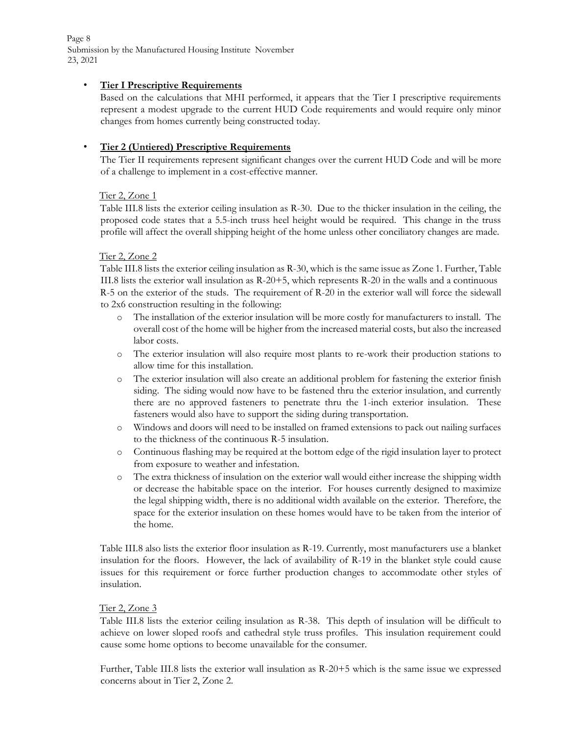Page 8 Submission by the Manufactured Housing Institute November 23, 2021

# • **Tier I Prescriptive Requirements**

Based on the calculations that MHI performed, it appears that the Tier I prescriptive requirements represent a modest upgrade to the current HUD Code requirements and would require only minor changes from homes currently being constructed today.

# • **Tier 2 (Untiered) Prescriptive Requirements**

The Tier II requirements represent significant changes over the current HUD Code and will be more of a challenge to implement in a cost-effective manner.

# Tier 2, Zone 1

Table III.8 lists the exterior ceiling insulation as R-30. Due to the thicker insulation in the ceiling, the proposed code states that a 5.5-inch truss heel height would be required. This change in the truss profile will affect the overall shipping height of the home unless other conciliatory changes are made.

# Tier 2, Zone 2

Table III.8 lists the exterior ceiling insulation as R-30, which is the same issue as Zone 1. Further, Table III.8 lists the exterior wall insulation as R-20+5, which represents R-20 in the walls and a continuous R-5 on the exterior of the studs. The requirement of R-20 in the exterior wall will force the sidewall to 2x6 construction resulting in the following:

- o The installation of the exterior insulation will be more costly for manufacturers to install. The overall cost of the home will be higher from the increased material costs, but also the increased labor costs.
- o The exterior insulation will also require most plants to re-work their production stations to allow time for this installation.
- o The exterior insulation will also create an additional problem for fastening the exterior finish siding. The siding would now have to be fastened thru the exterior insulation, and currently there are no approved fasteners to penetrate thru the 1-inch exterior insulation. These fasteners would also have to support the siding during transportation.
- o Windows and doors will need to be installed on framed extensions to pack out nailing surfaces to the thickness of the continuous R-5 insulation.
- o Continuous flashing may be required at the bottom edge of the rigid insulation layer to protect from exposure to weather and infestation.
- o The extra thickness of insulation on the exterior wall would either increase the shipping width or decrease the habitable space on the interior. For houses currently designed to maximize the legal shipping width, there is no additional width available on the exterior. Therefore, the space for the exterior insulation on these homes would have to be taken from the interior of the home.

Table III.8 also lists the exterior floor insulation as R-19. Currently, most manufacturers use a blanket insulation for the floors. However, the lack of availability of R-19 in the blanket style could cause issues for this requirement or force further production changes to accommodate other styles of insulation.

# Tier 2, Zone 3

Table III.8 lists the exterior ceiling insulation as R-38. This depth of insulation will be difficult to achieve on lower sloped roofs and cathedral style truss profiles. This insulation requirement could cause some home options to become unavailable for the consumer.

Further, Table III.8 lists the exterior wall insulation as R-20+5 which is the same issue we expressed concerns about in Tier 2, Zone 2.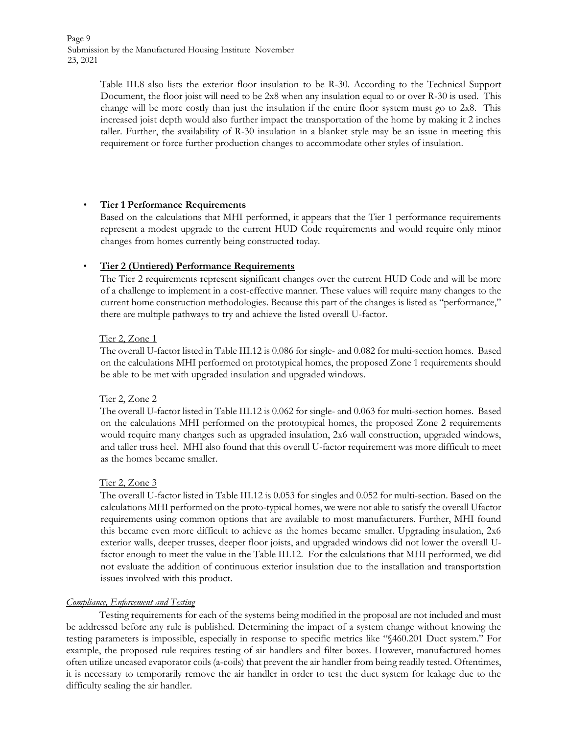Page 9 Submission by the Manufactured Housing Institute November 23, 2021

> Table III.8 also lists the exterior floor insulation to be R-30. According to the Technical Support Document, the floor joist will need to be 2x8 when any insulation equal to or over R-30 is used. This change will be more costly than just the insulation if the entire floor system must go to 2x8. This increased joist depth would also further impact the transportation of the home by making it 2 inches taller. Further, the availability of R-30 insulation in a blanket style may be an issue in meeting this requirement or force further production changes to accommodate other styles of insulation.

# • **Tier 1 Performance Requirements**

Based on the calculations that MHI performed, it appears that the Tier 1 performance requirements represent a modest upgrade to the current HUD Code requirements and would require only minor changes from homes currently being constructed today.

# • **Tier 2 (Untiered) Performance Requirements**

The Tier 2 requirements represent significant changes over the current HUD Code and will be more of a challenge to implement in a cost-effective manner. These values will require many changes to the current home construction methodologies. Because this part of the changes is listed as "performance," there are multiple pathways to try and achieve the listed overall U-factor.

# Tier 2, Zone 1

The overall U-factor listed in Table III.12 is 0.086 for single- and 0.082 for multi-section homes. Based on the calculations MHI performed on prototypical homes, the proposed Zone 1 requirements should be able to be met with upgraded insulation and upgraded windows.

# Tier 2, Zone 2

The overall U-factor listed in Table III.12 is 0.062 for single- and 0.063 for multi-section homes. Based on the calculations MHI performed on the prototypical homes, the proposed Zone 2 requirements would require many changes such as upgraded insulation, 2x6 wall construction, upgraded windows, and taller truss heel. MHI also found that this overall U-factor requirement was more difficult to meet as the homes became smaller.

# Tier 2, Zone 3

The overall U-factor listed in Table III.12 is 0.053 for singles and 0.052 for multi-section. Based on the calculations MHI performed on the proto-typical homes, we were not able to satisfy the overall Ufactor requirements using common options that are available to most manufacturers. Further, MHI found this became even more difficult to achieve as the homes became smaller. Upgrading insulation, 2x6 exterior walls, deeper trusses, deeper floor joists, and upgraded windows did not lower the overall Ufactor enough to meet the value in the Table III.12. For the calculations that MHI performed, we did not evaluate the addition of continuous exterior insulation due to the installation and transportation issues involved with this product.

# *Compliance, Enforcement and Testing*

Testing requirements for each of the systems being modified in the proposal are not included and must be addressed before any rule is published. Determining the impact of a system change without knowing the testing parameters is impossible, especially in response to specific metrics like "§460.201 Duct system." For example, the proposed rule requires testing of air handlers and filter boxes. However, manufactured homes often utilize uncased evaporator coils (a-coils) that prevent the air handler from being readily tested. Oftentimes, it is necessary to temporarily remove the air handler in order to test the duct system for leakage due to the difficulty sealing the air handler.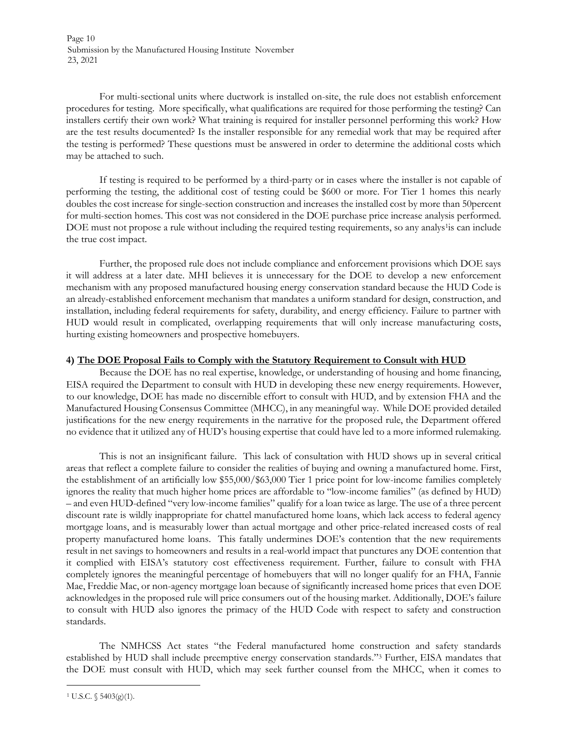Page 10 Submission by the Manufactured Housing Institute November 23, 2021

For multi-sectional units where ductwork is installed on-site, the rule does not establish enforcement procedures for testing. More specifically, what qualifications are required for those performing the testing? Can installers certify their own work? What training is required for installer personnel performing this work? How are the test results documented? Is the installer responsible for any remedial work that may be required after the testing is performed? These questions must be answered in order to determine the additional costs which may be attached to such.

If testing is required to be performed by a third-party or in cases where the installer is not capable of performing the testing, the additional cost of testing could be \$600 or more. For Tier 1 homes this nearly doubles the cost increase for single-section construction and increases the installed cost by more than 50percent for multi-section homes. This cost was not considered in the DOE purchase price increase analysis performed. DOE must not propose a rule without including the required testing requirements, so any analys<sup>1</sup>is can include the true cost impact.

Further, the proposed rule does not include compliance and enforcement provisions which DOE says it will address at a later date. MHI believes it is unnecessary for the DOE to develop a new enforcement mechanism with any proposed manufactured housing energy conservation standard because the HUD Code is an already-established enforcement mechanism that mandates a uniform standard for design, construction, and installation, including federal requirements for safety, durability, and energy efficiency. Failure to partner with HUD would result in complicated, overlapping requirements that will only increase manufacturing costs, hurting existing homeowners and prospective homebuyers.

# **4) The DOE Proposal Fails to Comply with the Statutory Requirement to Consult with HUD**

Because the DOE has no real expertise, knowledge, or understanding of housing and home financing, EISA required the Department to consult with HUD in developing these new energy requirements. However, to our knowledge, DOE has made no discernible effort to consult with HUD, and by extension FHA and the Manufactured Housing Consensus Committee (MHCC), in any meaningful way. While DOE provided detailed justifications for the new energy requirements in the narrative for the proposed rule, the Department offered no evidence that it utilized any of HUD's housing expertise that could have led to a more informed rulemaking.

This is not an insignificant failure. This lack of consultation with HUD shows up in several critical areas that reflect a complete failure to consider the realities of buying and owning a manufactured home. First, the establishment of an artificially low \$55,000/\$63,000 Tier 1 price point for low-income families completely ignores the reality that much higher home prices are affordable to "low-income families" (as defined by HUD) – and even HUD-defined "very low-income families" qualify for a loan twice as large. The use of a three percent discount rate is wildly inappropriate for chattel manufactured home loans, which lack access to federal agency mortgage loans, and is measurably lower than actual mortgage and other price-related increased costs of real property manufactured home loans. This fatally undermines DOE's contention that the new requirements result in net savings to homeowners and results in a real-world impact that punctures any DOE contention that it complied with EISA's statutory cost effectiveness requirement. Further, failure to consult with FHA completely ignores the meaningful percentage of homebuyers that will no longer qualify for an FHA, Fannie Mae, Freddie Mac, or non-agency mortgage loan because of significantly increased home prices that even DOE acknowledges in the proposed rule will price consumers out of the housing market. Additionally, DOE's failure to consult with HUD also ignores the primacy of the HUD Code with respect to safety and construction standards.

The NMHCSS Act states "the Federal manufactured home construction and safety standards established by HUD shall include preemptive energy conservation standards."<sup>3</sup> Further, EISA mandates that the DOE must consult with HUD, which may seek further counsel from the MHCC, when it comes to

 $1 \text{ U.S.C. } \S 5403(g)(1)$ .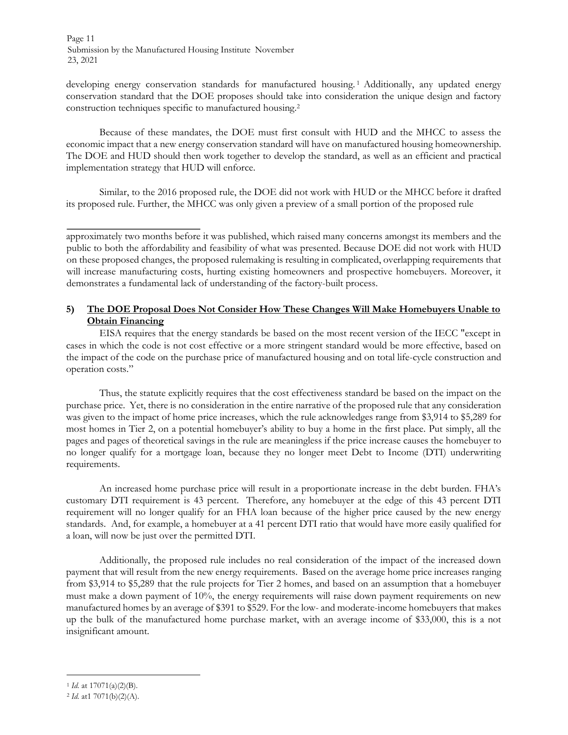Page 11 Submission by the Manufactured Housing Institute November 23, 2021

developing energy conservation standards for manufactured housing.<sup>1</sup> Additionally, any updated energy conservation standard that the DOE proposes should take into consideration the unique design and factory construction techniques specific to manufactured housing.<sup>2</sup>

Because of these mandates, the DOE must first consult with HUD and the MHCC to assess the economic impact that a new energy conservation standard will have on manufactured housing homeownership. The DOE and HUD should then work together to develop the standard, as well as an efficient and practical implementation strategy that HUD will enforce.

Similar, to the 2016 proposed rule, the DOE did not work with HUD or the MHCC before it drafted its proposed rule. Further, the MHCC was only given a preview of a small portion of the proposed rule

approximately two months before it was published, which raised many concerns amongst its members and the public to both the affordability and feasibility of what was presented. Because DOE did not work with HUD on these proposed changes, the proposed rulemaking is resulting in complicated, overlapping requirements that will increase manufacturing costs, hurting existing homeowners and prospective homebuyers. Moreover, it demonstrates a fundamental lack of understanding of the factory-built process.

# **5) The DOE Proposal Does Not Consider How These Changes Will Make Homebuyers Unable to Obtain Financing**

EISA requires that the energy standards be based on the most recent version of the IECC "except in cases in which the code is not cost effective or a more stringent standard would be more effective, based on the impact of the code on the purchase price of manufactured housing and on total life-cycle construction and operation costs."

Thus, the statute explicitly requires that the cost effectiveness standard be based on the impact on the purchase price. Yet, there is no consideration in the entire narrative of the proposed rule that any consideration was given to the impact of home price increases, which the rule acknowledges range from \$3,914 to \$5,289 for most homes in Tier 2, on a potential homebuyer's ability to buy a home in the first place. Put simply, all the pages and pages of theoretical savings in the rule are meaningless if the price increase causes the homebuyer to no longer qualify for a mortgage loan, because they no longer meet Debt to Income (DTI) underwriting requirements.

An increased home purchase price will result in a proportionate increase in the debt burden. FHA's customary DTI requirement is 43 percent. Therefore, any homebuyer at the edge of this 43 percent DTI requirement will no longer qualify for an FHA loan because of the higher price caused by the new energy standards. And, for example, a homebuyer at a 41 percent DTI ratio that would have more easily qualified for a loan, will now be just over the permitted DTI.

Additionally, the proposed rule includes no real consideration of the impact of the increased down payment that will result from the new energy requirements. Based on the average home price increases ranging from \$3,914 to \$5,289 that the rule projects for Tier 2 homes, and based on an assumption that a homebuyer must make a down payment of 10%, the energy requirements will raise down payment requirements on new manufactured homes by an average of \$391 to \$529. For the low- and moderate-income homebuyers that makes up the bulk of the manufactured home purchase market, with an average income of \$33,000, this is a not insignificant amount.

<sup>1</sup> *Id.* at 17071(a)(2)(B).

<sup>2</sup> *Id.* at1 7071(b)(2)(A).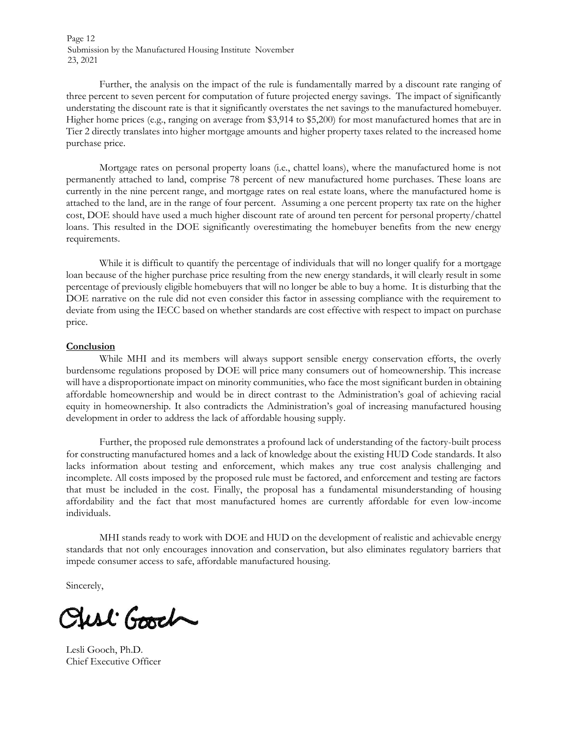Page 12 Submission by the Manufactured Housing Institute November 23, 2021

Further, the analysis on the impact of the rule is fundamentally marred by a discount rate ranging of three percent to seven percent for computation of future projected energy savings. The impact of significantly understating the discount rate is that it significantly overstates the net savings to the manufactured homebuyer. Higher home prices (e.g., ranging on average from \$3,914 to \$5,200) for most manufactured homes that are in Tier 2 directly translates into higher mortgage amounts and higher property taxes related to the increased home purchase price.

Mortgage rates on personal property loans (i.e., chattel loans), where the manufactured home is not permanently attached to land, comprise 78 percent of new manufactured home purchases. These loans are currently in the nine percent range, and mortgage rates on real estate loans, where the manufactured home is attached to the land, are in the range of four percent. Assuming a one percent property tax rate on the higher cost, DOE should have used a much higher discount rate of around ten percent for personal property/chattel loans. This resulted in the DOE significantly overestimating the homebuyer benefits from the new energy requirements.

While it is difficult to quantify the percentage of individuals that will no longer qualify for a mortgage loan because of the higher purchase price resulting from the new energy standards, it will clearly result in some percentage of previously eligible homebuyers that will no longer be able to buy a home. It is disturbing that the DOE narrative on the rule did not even consider this factor in assessing compliance with the requirement to deviate from using the IECC based on whether standards are cost effective with respect to impact on purchase price.

#### **Conclusion**

While MHI and its members will always support sensible energy conservation efforts, the overly burdensome regulations proposed by DOE will price many consumers out of homeownership. This increase will have a disproportionate impact on minority communities, who face the most significant burden in obtaining affordable homeownership and would be in direct contrast to the Administration's goal of achieving racial equity in homeownership. It also contradicts the Administration's goal of increasing manufactured housing development in order to address the lack of affordable housing supply.

Further, the proposed rule demonstrates a profound lack of understanding of the factory-built process for constructing manufactured homes and a lack of knowledge about the existing HUD Code standards. It also lacks information about testing and enforcement, which makes any true cost analysis challenging and incomplete. All costs imposed by the proposed rule must be factored, and enforcement and testing are factors that must be included in the cost. Finally, the proposal has a fundamental misunderstanding of housing affordability and the fact that most manufactured homes are currently affordable for even low-income individuals.

MHI stands ready to work with DOE and HUD on the development of realistic and achievable energy standards that not only encourages innovation and conservation, but also eliminates regulatory barriers that impede consumer access to safe, affordable manufactured housing.

Sincerely,

Sust Good

Lesli Gooch, Ph.D. Chief Executive Officer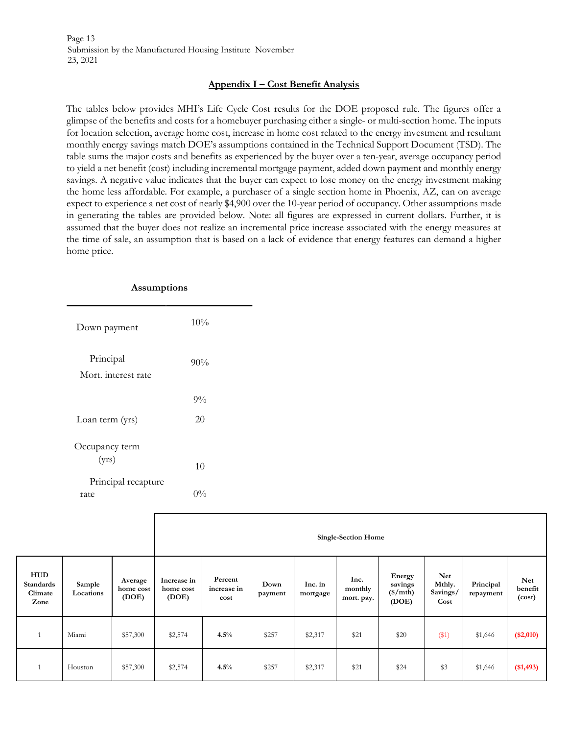Page 13 Submission by the Manufactured Housing Institute November 23, 2021

#### **Appendix I – Cost Benefit Analysis**

The tables below provides MHI's Life Cycle Cost results for the DOE proposed rule. The figures offer a glimpse of the benefits and costs for a homebuyer purchasing either a single- or multi-section home. The inputs for location selection, average home cost, increase in home cost related to the energy investment and resultant monthly energy savings match DOE's assumptions contained in the Technical Support Document (TSD). The table sums the major costs and benefits as experienced by the buyer over a ten-year, average occupancy period to yield a net benefit (cost) including incremental mortgage payment, added down payment and monthly energy savings. A negative value indicates that the buyer can expect to lose money on the energy investment making the home less affordable. For example, a purchaser of a single section home in Phoenix, AZ, can on average expect to experience a net cost of nearly \$4,900 over the 10-year period of occupancy. Other assumptions made in generating the tables are provided below. Note: all figures are expressed in current dollars. Further, it is assumed that the buyer does not realize an incremental price increase associated with the energy measures at the time of sale, an assumption that is based on a lack of evidence that energy features can demand a higher home price.

| Assumptions                      |       |
|----------------------------------|-------|
| Down payment                     | 10%   |
| Principal<br>Mort, interest rate | 90%   |
|                                  | $9\%$ |
| Loan term (yrs)                  | 20    |
| Occupancy term<br>(yrs)          | 10    |
| Principal recapture              |       |
| rate                             | $0\%$ |

|                                            |                     |                               |                                   |                                |                 |                     | <b>Single-Section Home</b>    |                                          |                                   |                        |                                 |
|--------------------------------------------|---------------------|-------------------------------|-----------------------------------|--------------------------------|-----------------|---------------------|-------------------------------|------------------------------------------|-----------------------------------|------------------------|---------------------------------|
| <b>HUD</b><br>Standards<br>Climate<br>Zone | Sample<br>Locations | Average<br>home cost<br>(DOE) | Increase in<br>home cost<br>(DOE) | Percent<br>increase in<br>cost | Down<br>payment | Inc. in<br>mortgage | Inc.<br>monthly<br>mort. pay. | Energy<br>savings<br>$(\$/mth)$<br>(DOE) | Net<br>Mthly.<br>Savings/<br>Cost | Principal<br>repayment | <b>Net</b><br>benefit<br>(cost) |
| $\mathbf{1}$                               | Miami               | \$57,300                      | \$2,574                           | 4.5%                           | \$257           | \$2,317             | \$21                          | \$20                                     | (\$1)                             | \$1,646                | $(\$2,010)$                     |
| $\mathbf{1}$                               | Houston             | \$57,300                      | \$2,574                           | 4.5%                           | \$257           | \$2,317             | \$21                          | \$24                                     | \$3                               | \$1,646                | $(\$1,493)$                     |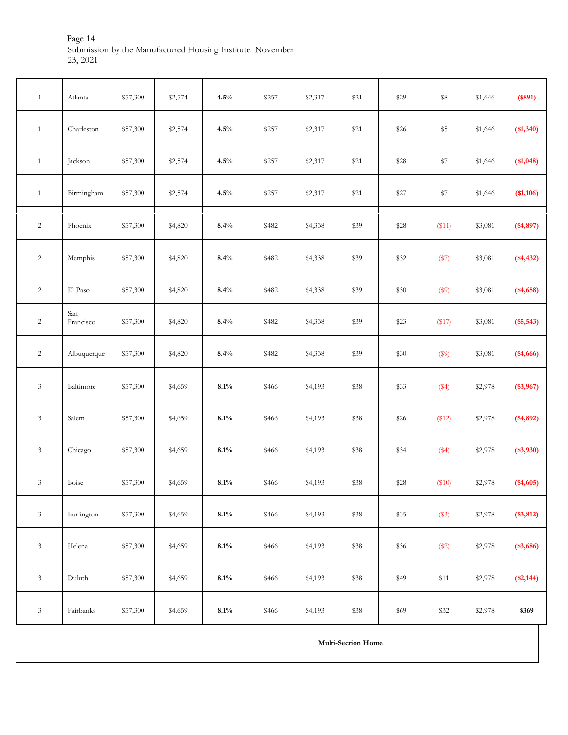Page 14 Submission by the Manufactured Housing Institute November 23, 2021

| $\mathbf{1}$                | Atlanta          | \$57,300 | \$2,574 | 4.5%    | \$257 | \$2,317 | \$21                      | \$29  | \$8          | \$1,646 | (\$891)    |
|-----------------------------|------------------|----------|---------|---------|-------|---------|---------------------------|-------|--------------|---------|------------|
| $\mathbf{1}$                | Charleston       | \$57,300 | \$2,574 | 4.5%    | \$257 | \$2,317 | \$21                      | \$26  | $\$5$        | \$1,646 | (\$1,340)  |
| $\mathbf{1}$                | Jackson          | \$57,300 | \$2,574 | 4.5%    | \$257 | \$2,317 | \$21                      | \$28  | \$7          | \$1,646 | (\$1,048)  |
| $\mathbf{1}$                | Birmingham       | \$57,300 | \$2,574 | 4.5%    | \$257 | \$2,317 | $$21$                     | $$27$ | $\$7$        | \$1,646 | (\$1,106)  |
| $\overline{c}$              | Phoenix          | \$57,300 | \$4,820 | 8.4%    | \$482 | \$4,338 | \$39                      | \$28  | $($ \$11)    | \$3,081 | $(*4,897)$ |
| $\sqrt{2}$                  | Memphis          | \$57,300 | \$4,820 | 8.4%    | \$482 | \$4,338 | \$39                      | \$32  | (\$7)        | \$3,081 | $(*4,432)$ |
| $\overline{c}$              | El Paso          | \$57,300 | \$4,820 | 8.4%    | \$482 | \$4,338 | \$39                      | \$30  | \$9)         | \$3,081 | $(*4,658)$ |
| $\sqrt{2}$                  | San<br>Francisco | \$57,300 | \$4,820 | 8.4%    | \$482 | \$4,338 | \$39                      | \$23  | $($ \$17 $)$ | \$3,081 | $(*5,543)$ |
| $\sqrt{2}$                  | Albuquerque      | \$57,300 | \$4,820 | 8.4%    | \$482 | \$4,338 | \$39                      | \$30  | \$9)         | \$3,081 | $(*4,666)$ |
| $\ensuremath{\mathfrak{Z}}$ | Baltimore        | \$57,300 | \$4,659 | 8.1%    | \$466 | \$4,193 | \$38                      | \$33  | (\$4)        | \$2,978 | $(*3,967)$ |
| $\ensuremath{\mathfrak{Z}}$ | Salem            | \$57,300 | \$4,659 | 8.1%    | \$466 | \$4,193 | \$38                      | \$26  | \$12)        | \$2,978 | $(*4,892)$ |
| $\ensuremath{\mathfrak{Z}}$ | Chicago          | \$57,300 | \$4,659 | 8.1%    | \$466 | \$4,193 | \$38                      | \$34  | (\$4)        | \$2,978 | $(*3,930)$ |
| $\mathfrak{Z}$              | Boise            | \$57,300 | \$4,659 | 8.1%    | \$466 | \$4,193 | \$38                      | \$28  | \$10         | \$2,978 | $(*4,605)$ |
| $\ensuremath{\mathfrak{Z}}$ | Burlington       | \$57,300 | \$4,659 | $8.1\%$ | \$466 | \$4,193 | \$38                      | \$35  | (\$3)        | \$2,978 | $(*3,812)$ |
| $\ensuremath{\mathfrak{Z}}$ | Helena           | \$57,300 | \$4,659 | 8.1%    | \$466 | \$4,193 | \$38                      | \$36  | (\$2)        | \$2,978 | $(*3,686)$ |
| $\mathfrak{Z}$              | Duluth           | \$57,300 | \$4,659 | 8.1%    | \$466 | \$4,193 | \$38                      | \$49  | \$11         | \$2,978 | $(*2,144)$ |
| $\mathfrak{Z}$              | Fairbanks        | \$57,300 | \$4,659 | 8.1%    | \$466 | \$4,193 | \$38                      | \$69  | \$32         | \$2,978 | \$369      |
|                             |                  |          |         |         |       |         | <b>Multi-Section Home</b> |       |              |         |            |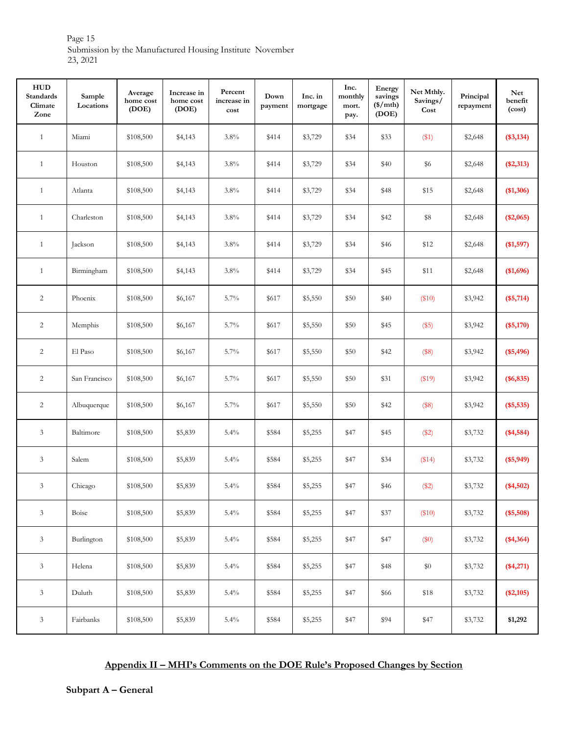Page 15 Submission by the Manufactured Housing Institute November 23, 2021

| ${\bf HUD}$<br><b>Standards</b><br>Climate<br>Zone | Sample<br>Locations | Average<br>home cost<br>(DOE) | Increase in<br>home cost<br>(DOE) | Percent<br>increase in<br>cost | Down<br>payment | Inc. in<br>mortgage | Inc.<br>monthly<br>mort.<br>pay. | Energy<br>savings<br>$(\$/mth)$<br>(DOE) | Net Mthly.<br>Savings/<br>Cost | Principal<br>repayment | <b>Net</b><br>$\bf{b}$ enefit<br>(cost) |
|----------------------------------------------------|---------------------|-------------------------------|-----------------------------------|--------------------------------|-----------------|---------------------|----------------------------------|------------------------------------------|--------------------------------|------------------------|-----------------------------------------|
| $\mathbf{1}$                                       | Miami               | \$108,500                     | \$4,143                           | 3.8%                           | \$414           | \$3,729             | \$34                             | \$33                                     | (\$1)                          | \$2,648                | $(*3,134)$                              |
| $\mathbf{1}$                                       | Houston             | \$108,500                     | \$4,143                           | $3.8\%$                        | \$414           | \$3,729             | \$34                             | \$40                                     | \$6                            | \$2,648                | $(*2,313)$                              |
| $\mathbf{1}$                                       | Atlanta             | \$108,500                     | \$4,143                           | $3.8\%$                        | \$414           | \$3,729             | \$34                             | \$48                                     | \$15                           | \$2,648                | (\$1,306)                               |
| $\mathbf{1}$                                       | Charleston          | \$108,500                     | \$4,143                           | 3.8%                           | \$414           | \$3,729             | \$34                             | \$42                                     | \$8                            | \$2,648                | $(*2,065)$                              |
| $\mathbf{1}$                                       | Jackson             | \$108,500                     | \$4,143                           | 3.8%                           | \$414           | \$3,729             | \$34                             | \$46                                     | \$12                           | \$2,648                | (\$1,597)                               |
| $\mathbf{1}$                                       | Birmingham          | \$108,500                     | \$4,143                           | 3.8%                           | \$414           | \$3,729             | \$34                             | \$45                                     | \$11                           | \$2,648                | (\$1,696)                               |
| 2                                                  | Phoenix             | \$108,500                     | \$6,167                           | 5.7%                           | \$617           | \$5,550             | \$50                             | \$40                                     | (\$10)                         | \$3,942                | $(*5,714)$                              |
| $\overline{c}$                                     | Memphis             | \$108,500                     | \$6,167                           | 5.7%                           | \$617           | \$5,550             | $\$50$                           | \$45                                     | (\$5)                          | \$3,942                | $(*5,170)$                              |
| $\overline{2}$                                     | El Paso             | \$108,500                     | \$6,167                           | 5.7%                           | \$617           | \$5,550             | \$50                             | \$42                                     | (\$8)                          | \$3,942                | $(*5,496)$                              |
| $\overline{2}$                                     | San Francisco       | \$108,500                     | \$6,167                           | 5.7%                           | \$617           | \$5,550             | \$50                             | \$31                                     | (\$19)                         | \$3,942                | $(*6, 835)$                             |
| $\overline{c}$                                     | Albuquerque         | \$108,500                     | \$6,167                           | 5.7%                           | \$617           | \$5,550             | \$50                             | \$42                                     | (\$8)                          | \$3,942                | $(*5,535)$                              |
| $\mathfrak{Z}$                                     | Baltimore           | \$108,500                     | \$5,839                           | 5.4%                           | \$584           | \$5,255             | \$47                             | \$45                                     | (\$2)                          | \$3,732                | $(*4,584)$                              |
| $\mathfrak{Z}$                                     | Salem               | \$108,500                     | \$5,839                           | 5.4%                           | \$584           | \$5,255             | \$47                             | \$34                                     | (\$14)                         | \$3,732                | $(*5,949)$                              |
| 3                                                  | Chicago             | \$108,500                     | \$5,839                           | 5.4%                           | \$584           | \$5,255             | \$47                             | \$46                                     | (\$2)                          | \$3,732                | $(*4,502)$                              |
| $\mathfrak{Z}$                                     | Boise               | \$108,500                     | \$5,839                           | 5.4%                           | \$584           | \$5,255             | \$47                             | \$37                                     | \$10)                          | \$3,732                | $(*5,508)$                              |
| $\mathfrak{Z}$                                     | Burlington          | \$108,500                     | \$5,839                           | 5.4%                           | \$584           | \$5,255             | \$47                             | \$47                                     | \$0)                           | \$3,732                | $(*4,364)$                              |
| $\mathfrak{Z}$                                     | Helena              | \$108,500                     | \$5,839                           | 5.4%                           | \$584           | \$5,255             | \$47                             | \$48                                     | $\$0$                          | \$3,732                | $(*4,271)$                              |
| 3                                                  | Duluth              | \$108,500                     | \$5,839                           | 5.4%                           | \$584           | \$5,255             | \$47                             | \$66                                     | $\$18$                         | \$3,732                | $(*2,105)$                              |
| $\mathfrak{Z}$                                     | Fairbanks           | \$108,500                     | \$5,839                           | 5.4%                           | \$584           | \$5,255             | \$47                             | \$94                                     | \$47                           | \$3,732                | \$1,292                                 |

# **Appendix II – MHI's Comments on the DOE Rule's Proposed Changes by Section**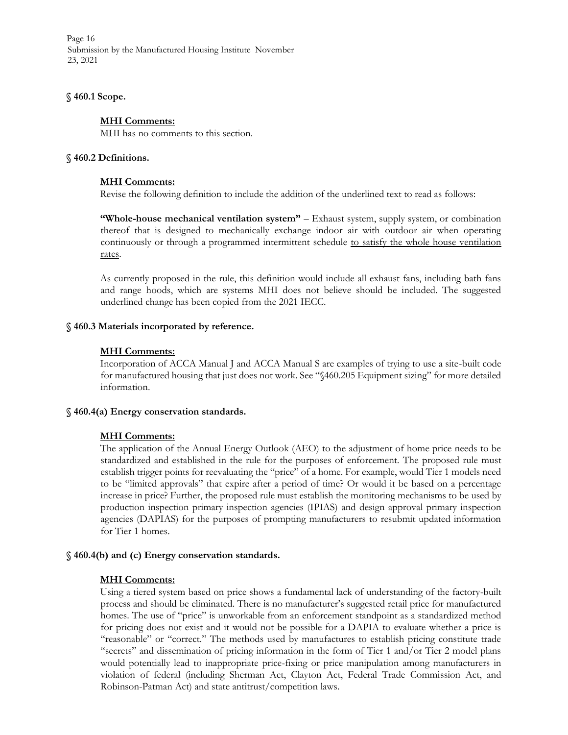Page 16 Submission by the Manufactured Housing Institute November 23, 2021

#### **§ 460.1 Scope.**

#### **MHI Comments:**

MHI has no comments to this section.

#### **§ 460.2 Definitions.**

#### **MHI Comments:**

Revise the following definition to include the addition of the underlined text to read as follows:

**"Whole-house mechanical ventilation system"** – Exhaust system, supply system, or combination thereof that is designed to mechanically exchange indoor air with outdoor air when operating continuously or through a programmed intermittent schedule to satisfy the whole house ventilation rates.

As currently proposed in the rule, this definition would include all exhaust fans, including bath fans and range hoods, which are systems MHI does not believe should be included. The suggested underlined change has been copied from the 2021 IECC.

#### **§ 460.3 Materials incorporated by reference.**

#### **MHI Comments:**

Incorporation of ACCA Manual J and ACCA Manual S are examples of trying to use a site-built code for manufactured housing that just does not work. See "§460.205 Equipment sizing" for more detailed information.

#### **§ 460.4(a) Energy conservation standards.**

# **MHI Comments:**

The application of the Annual Energy Outlook (AEO) to the adjustment of home price needs to be standardized and established in the rule for the purposes of enforcement. The proposed rule must establish trigger points for reevaluating the "price" of a home. For example, would Tier 1 models need to be "limited approvals" that expire after a period of time? Or would it be based on a percentage increase in price? Further, the proposed rule must establish the monitoring mechanisms to be used by production inspection primary inspection agencies (IPIAS) and design approval primary inspection agencies (DAPIAS) for the purposes of prompting manufacturers to resubmit updated information for Tier 1 homes.

#### **§ 460.4(b) and (c) Energy conservation standards.**

# **MHI Comments:**

Using a tiered system based on price shows a fundamental lack of understanding of the factory-built process and should be eliminated. There is no manufacturer's suggested retail price for manufactured homes. The use of "price" is unworkable from an enforcement standpoint as a standardized method for pricing does not exist and it would not be possible for a DAPIA to evaluate whether a price is "reasonable" or "correct." The methods used by manufactures to establish pricing constitute trade "secrets" and dissemination of pricing information in the form of Tier 1 and/or Tier 2 model plans would potentially lead to inappropriate price-fixing or price manipulation among manufacturers in violation of federal (including Sherman Act, Clayton Act, Federal Trade Commission Act, and Robinson-Patman Act) and state antitrust/competition laws.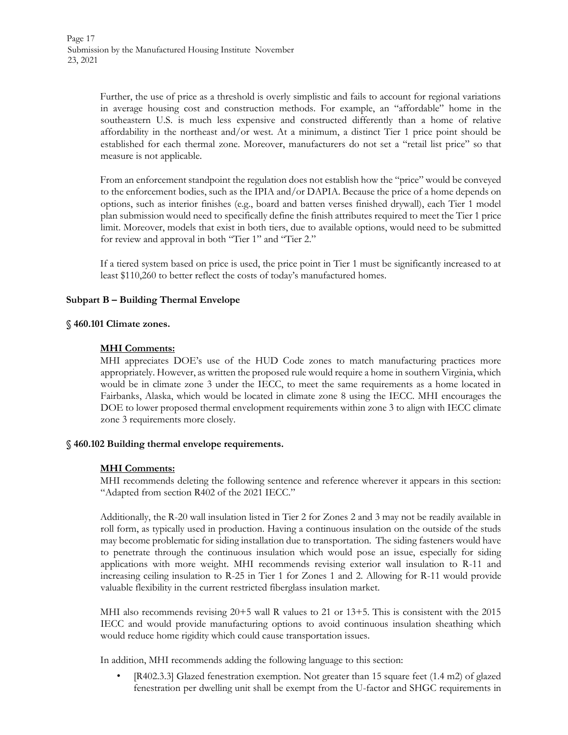Further, the use of price as a threshold is overly simplistic and fails to account for regional variations in average housing cost and construction methods. For example, an "affordable" home in the southeastern U.S. is much less expensive and constructed differently than a home of relative affordability in the northeast and/or west. At a minimum, a distinct Tier 1 price point should be established for each thermal zone. Moreover, manufacturers do not set a "retail list price" so that measure is not applicable.

From an enforcement standpoint the regulation does not establish how the "price" would be conveyed to the enforcement bodies, such as the IPIA and/or DAPIA. Because the price of a home depends on options, such as interior finishes (e.g., board and batten verses finished drywall), each Tier 1 model plan submission would need to specifically define the finish attributes required to meet the Tier 1 price limit. Moreover, models that exist in both tiers, due to available options, would need to be submitted for review and approval in both "Tier 1" and "Tier 2."

If a tiered system based on price is used, the price point in Tier 1 must be significantly increased to at least \$110,260 to better reflect the costs of today's manufactured homes.

# **Subpart B – Building Thermal Envelope**

#### **§ 460.101 Climate zones.**

#### **MHI Comments:**

MHI appreciates DOE's use of the HUD Code zones to match manufacturing practices more appropriately. However, as written the proposed rule would require a home in southern Virginia, which would be in climate zone 3 under the IECC, to meet the same requirements as a home located in Fairbanks, Alaska, which would be located in climate zone 8 using the IECC. MHI encourages the DOE to lower proposed thermal envelopment requirements within zone 3 to align with IECC climate zone 3 requirements more closely.

#### **§ 460.102 Building thermal envelope requirements.**

#### **MHI Comments:**

MHI recommends deleting the following sentence and reference wherever it appears in this section: "Adapted from section R402 of the 2021 IECC."

Additionally, the R-20 wall insulation listed in Tier 2 for Zones 2 and 3 may not be readily available in roll form, as typically used in production. Having a continuous insulation on the outside of the studs may become problematic for siding installation due to transportation. The siding fasteners would have to penetrate through the continuous insulation which would pose an issue, especially for siding applications with more weight. MHI recommends revising exterior wall insulation to R-11 and increasing ceiling insulation to R-25 in Tier 1 for Zones 1 and 2. Allowing for R-11 would provide valuable flexibility in the current restricted fiberglass insulation market.

MHI also recommends revising 20+5 wall R values to 21 or 13+5. This is consistent with the 2015 IECC and would provide manufacturing options to avoid continuous insulation sheathing which would reduce home rigidity which could cause transportation issues.

In addition, MHI recommends adding the following language to this section:

• [R402.3.3] Glazed fenestration exemption. Not greater than 15 square feet (1.4 m2) of glazed fenestration per dwelling unit shall be exempt from the U-factor and SHGC requirements in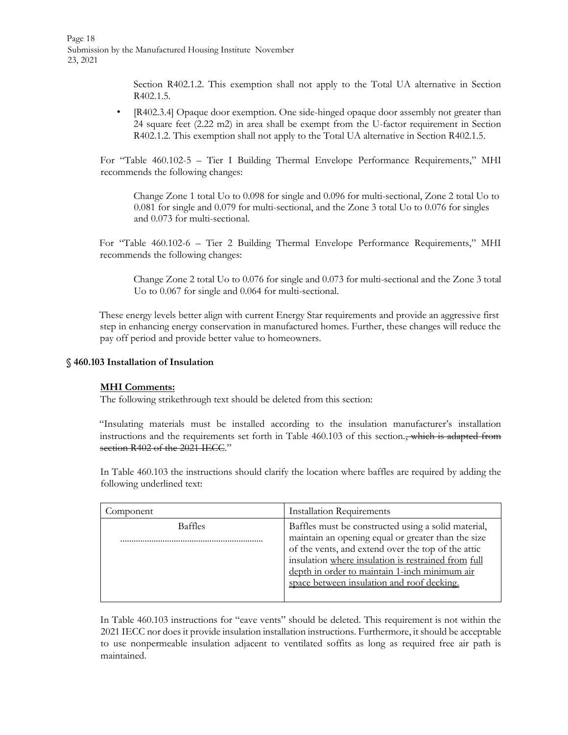Page 18 Submission by the Manufactured Housing Institute November 23, 2021

> Section R402.1.2. This exemption shall not apply to the Total UA alternative in Section R402.1.5.

• [R402.3.4] Opaque door exemption. One side-hinged opaque door assembly not greater than 24 square feet (2.22 m2) in area shall be exempt from the U-factor requirement in Section R402.1.2. This exemption shall not apply to the Total UA alternative in Section R402.1.5.

For "Table 460.102-5 – Tier I Building Thermal Envelope Performance Requirements," MHI recommends the following changes:

Change Zone 1 total Uo to 0.098 for single and 0.096 for multi-sectional, Zone 2 total Uo to 0.081 for single and 0.079 for multi-sectional, and the Zone 3 total Uo to 0.076 for singles and 0.073 for multi-sectional.

For "Table 460.102-6 – Tier 2 Building Thermal Envelope Performance Requirements," MHI recommends the following changes:

Change Zone 2 total Uo to 0.076 for single and 0.073 for multi-sectional and the Zone 3 total Uo to 0.067 for single and 0.064 for multi-sectional.

These energy levels better align with current Energy Star requirements and provide an aggressive first step in enhancing energy conservation in manufactured homes. Further, these changes will reduce the pay off period and provide better value to homeowners.

#### **§ 460.103 Installation of Insulation**

#### **MHI Comments:**

The following strikethrough text should be deleted from this section:

"Insulating materials must be installed according to the insulation manufacturer's installation instructions and the requirements set forth in Table 460.103 of this section., which is adapted from section R402 of the 2021 IECC."

In Table 460.103 the instructions should clarify the location where baffles are required by adding the following underlined text:

| Component      | <b>Installation Requirements</b>                                                                                                                                                                                                                                                                                      |
|----------------|-----------------------------------------------------------------------------------------------------------------------------------------------------------------------------------------------------------------------------------------------------------------------------------------------------------------------|
| <b>Baffles</b> | Baffles must be constructed using a solid material,<br>maintain an opening equal or greater than the size<br>of the vents, and extend over the top of the attic<br>insulation where insulation is restrained from full<br>depth in order to maintain 1-inch minimum air<br>space between insulation and roof decking. |

In Table 460.103 instructions for "eave vents" should be deleted. This requirement is not within the 2021 IECC nor does it provide insulation installation instructions. Furthermore, it should be acceptable to use nonpermeable insulation adjacent to ventilated soffits as long as required free air path is maintained.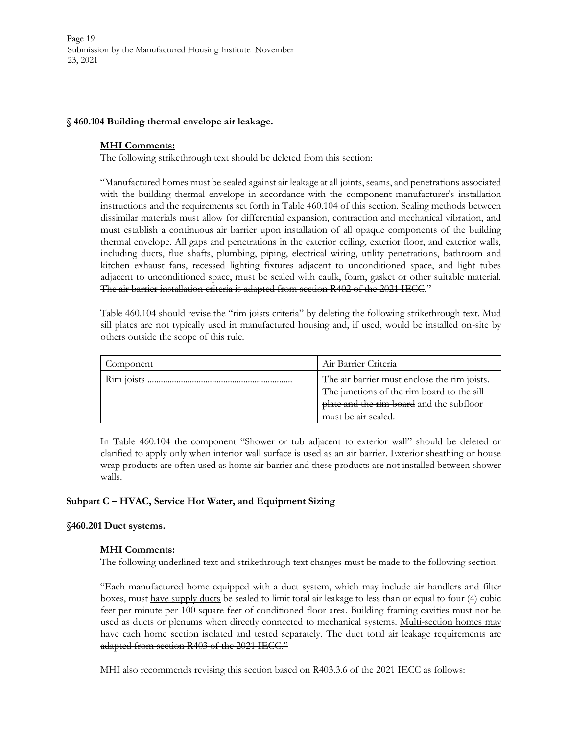Page 19 Submission by the Manufactured Housing Institute November 23, 2021

#### **§ 460.104 Building thermal envelope air leakage.**

# **MHI Comments:**

The following strikethrough text should be deleted from this section:

"Manufactured homes must be sealed against air leakage at all joints, seams, and penetrations associated with the building thermal envelope in accordance with the component manufacturer's installation instructions and the requirements set forth in Table 460.104 of this section. Sealing methods between dissimilar materials must allow for differential expansion, contraction and mechanical vibration, and must establish a continuous air barrier upon installation of all opaque components of the building thermal envelope. All gaps and penetrations in the exterior ceiling, exterior floor, and exterior walls, including ducts, flue shafts, plumbing, piping, electrical wiring, utility penetrations, bathroom and kitchen exhaust fans, recessed lighting fixtures adjacent to unconditioned space, and light tubes adjacent to unconditioned space, must be sealed with caulk, foam, gasket or other suitable material. The air barrier installation criteria is adapted from section R402 of the 2021 IECC."

Table 460.104 should revise the "rim joists criteria" by deleting the following strikethrough text. Mud sill plates are not typically used in manufactured housing and, if used, would be installed on-site by others outside the scope of this rule.

| Component | Air Barrier Criteria                                                                                                                                          |
|-----------|---------------------------------------------------------------------------------------------------------------------------------------------------------------|
|           | The air barrier must enclose the rim joists.<br>The junctions of the rim board to the sill<br>plate and the rim board and the subfloor<br>must be air sealed. |

In Table 460.104 the component "Shower or tub adjacent to exterior wall" should be deleted or clarified to apply only when interior wall surface is used as an air barrier. Exterior sheathing or house wrap products are often used as home air barrier and these products are not installed between shower walls.

# **Subpart C – HVAC, Service Hot Water, and Equipment Sizing**

# **§460.201 Duct systems.**

# **MHI Comments:**

The following underlined text and strikethrough text changes must be made to the following section:

"Each manufactured home equipped with a duct system, which may include air handlers and filter boxes, must have supply ducts be sealed to limit total air leakage to less than or equal to four (4) cubic feet per minute per 100 square feet of conditioned floor area. Building framing cavities must not be used as ducts or plenums when directly connected to mechanical systems. Multi-section homes may have each home section isolated and tested separately. The duct total air leakage requirements are adapted from section R403 of the 2021 IECC."

MHI also recommends revising this section based on R403.3.6 of the 2021 IECC as follows: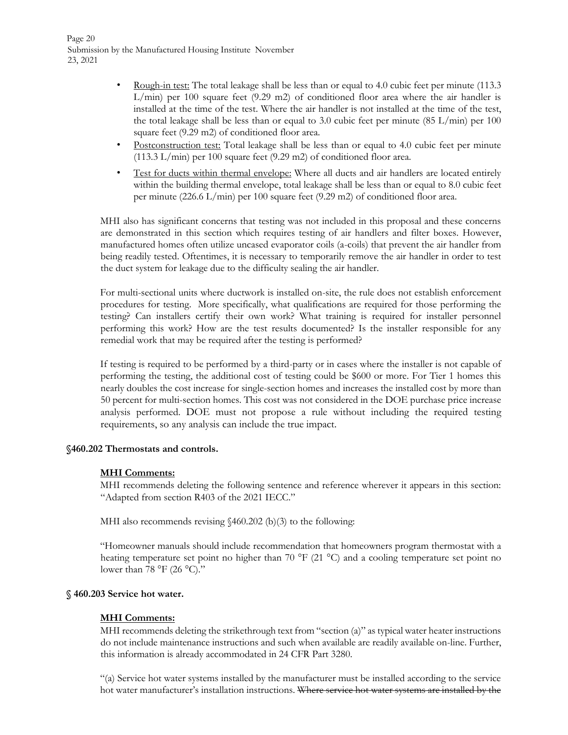Page 20 Submission by the Manufactured Housing Institute November 23, 2021

- Rough-in test: The total leakage shall be less than or equal to 4.0 cubic feet per minute (113.3)  $L/min$ ) per 100 square feet (9.29 m2) of conditioned floor area where the air handler is installed at the time of the test. Where the air handler is not installed at the time of the test, the total leakage shall be less than or equal to 3.0 cubic feet per minute  $(85 \text{ L/min})$  per 100 square feet (9.29 m2) of conditioned floor area.
- Postconstruction test: Total leakage shall be less than or equal to 4.0 cubic feet per minute (113.3 L/min) per 100 square feet (9.29 m2) of conditioned floor area.
- Test for ducts within thermal envelope: Where all ducts and air handlers are located entirely within the building thermal envelope, total leakage shall be less than or equal to 8.0 cubic feet per minute (226.6 L/min) per 100 square feet (9.29 m2) of conditioned floor area.

MHI also has significant concerns that testing was not included in this proposal and these concerns are demonstrated in this section which requires testing of air handlers and filter boxes. However, manufactured homes often utilize uncased evaporator coils (a-coils) that prevent the air handler from being readily tested. Oftentimes, it is necessary to temporarily remove the air handler in order to test the duct system for leakage due to the difficulty sealing the air handler.

For multi-sectional units where ductwork is installed on-site, the rule does not establish enforcement procedures for testing. More specifically, what qualifications are required for those performing the testing? Can installers certify their own work? What training is required for installer personnel performing this work? How are the test results documented? Is the installer responsible for any remedial work that may be required after the testing is performed?

If testing is required to be performed by a third-party or in cases where the installer is not capable of performing the testing, the additional cost of testing could be \$600 or more. For Tier 1 homes this nearly doubles the cost increase for single-section homes and increases the installed cost by more than 50 percent for multi-section homes. This cost was not considered in the DOE purchase price increase analysis performed. DOE must not propose a rule without including the required testing requirements, so any analysis can include the true impact.

#### **§460.202 Thermostats and controls.**

#### **MHI Comments:**

MHI recommends deleting the following sentence and reference wherever it appears in this section: "Adapted from section R403 of the 2021 IECC."

MHI also recommends revising  $(460.202 \text{ (b)}(3)$  to the following:

"Homeowner manuals should include recommendation that homeowners program thermostat with a heating temperature set point no higher than 70 °F (21 °C) and a cooling temperature set point no lower than 78 °F (26 °C)."

#### **§ 460.203 Service hot water.**

# **MHI Comments:**

MHI recommends deleting the strikethrough text from "section (a)" as typical water heater instructions do not include maintenance instructions and such when available are readily available on-line. Further, this information is already accommodated in 24 CFR Part 3280.

"(a) Service hot water systems installed by the manufacturer must be installed according to the service hot water manufacturer's installation instructions. Where service hot water systems are installed by the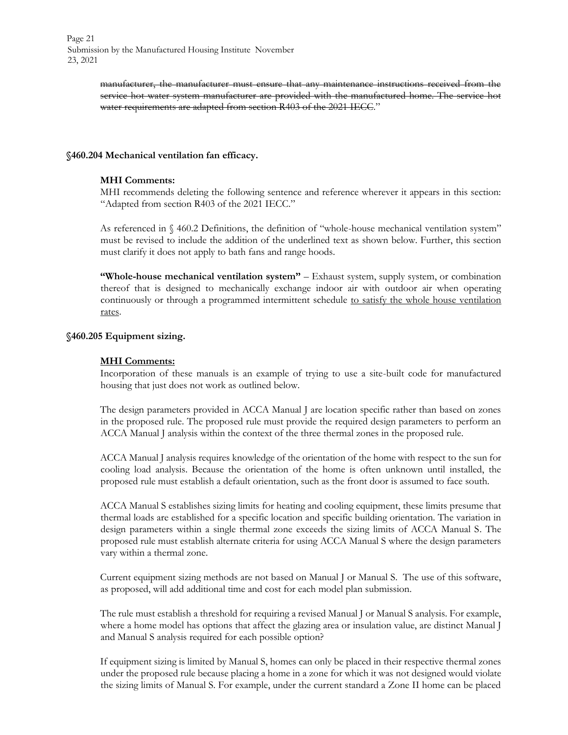manufacturer, the manufacturer must ensure that any maintenance instructions received from the service hot water system manufacturer are provided with the manufactured home. The service hot water requirements are adapted from section R403 of the 2021 IECC."

#### **§460.204 Mechanical ventilation fan efficacy.**

#### **MHI Comments:**

MHI recommends deleting the following sentence and reference wherever it appears in this section: "Adapted from section R403 of the 2021 IECC."

As referenced in § 460.2 Definitions, the definition of "whole-house mechanical ventilation system" must be revised to include the addition of the underlined text as shown below. Further, this section must clarify it does not apply to bath fans and range hoods.

**"Whole-house mechanical ventilation system"** – Exhaust system, supply system, or combination thereof that is designed to mechanically exchange indoor air with outdoor air when operating continuously or through a programmed intermittent schedule to satisfy the whole house ventilation rates.

#### **§460.205 Equipment sizing.**

# **MHI Comments:**

Incorporation of these manuals is an example of trying to use a site-built code for manufactured housing that just does not work as outlined below.

The design parameters provided in ACCA Manual J are location specific rather than based on zones in the proposed rule. The proposed rule must provide the required design parameters to perform an ACCA Manual J analysis within the context of the three thermal zones in the proposed rule.

ACCA Manual J analysis requires knowledge of the orientation of the home with respect to the sun for cooling load analysis. Because the orientation of the home is often unknown until installed, the proposed rule must establish a default orientation, such as the front door is assumed to face south.

ACCA Manual S establishes sizing limits for heating and cooling equipment, these limits presume that thermal loads are established for a specific location and specific building orientation. The variation in design parameters within a single thermal zone exceeds the sizing limits of ACCA Manual S. The proposed rule must establish alternate criteria for using ACCA Manual S where the design parameters vary within a thermal zone.

Current equipment sizing methods are not based on Manual J or Manual S. The use of this software, as proposed, will add additional time and cost for each model plan submission.

The rule must establish a threshold for requiring a revised Manual J or Manual S analysis. For example, where a home model has options that affect the glazing area or insulation value, are distinct Manual J and Manual S analysis required for each possible option?

If equipment sizing is limited by Manual S, homes can only be placed in their respective thermal zones under the proposed rule because placing a home in a zone for which it was not designed would violate the sizing limits of Manual S. For example, under the current standard a Zone II home can be placed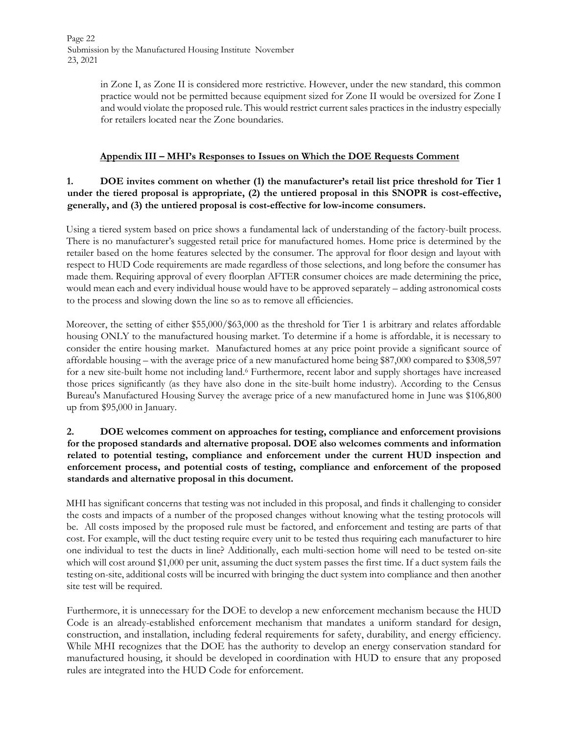in Zone I, as Zone II is considered more restrictive. However, under the new standard, this common practice would not be permitted because equipment sized for Zone II would be oversized for Zone I and would violate the proposed rule. This would restrict current sales practices in the industry especially for retailers located near the Zone boundaries.

# **Appendix III – MHI's Responses to Issues on Which the DOE Requests Comment**

# **1. DOE invites comment on whether (1) the manufacturer's retail list price threshold for Tier 1 under the tiered proposal is appropriate, (2) the untiered proposal in this SNOPR is cost-effective, generally, and (3) the untiered proposal is cost-effective for low-income consumers.**

Using a tiered system based on price shows a fundamental lack of understanding of the factory-built process. There is no manufacturer's suggested retail price for manufactured homes. Home price is determined by the retailer based on the home features selected by the consumer. The approval for floor design and layout with respect to HUD Code requirements are made regardless of those selections, and long before the consumer has made them. Requiring approval of every floorplan AFTER consumer choices are made determining the price, would mean each and every individual house would have to be approved separately – adding astronomical costs to the process and slowing down the line so as to remove all efficiencies.

Moreover, the setting of either \$55,000/\$63,000 as the threshold for Tier 1 is arbitrary and relates affordable housing ONLY to the manufactured housing market. To determine if a home is affordable, it is necessary to consider the entire housing market. Manufactured homes at any price point provide a significant source of affordable housing – with the average price of a new manufactured home being \$87,000 compared to \$308,597 for a new site-built home not including land.<sup>6</sup> Furthermore, recent labor and supply shortages have increased those prices significantly (as they have also done in the site-built home industry). According to the Census Bureau's Manufactured Housing Survey the average price of a new manufactured home in June was \$106,800 up from \$95,000 in January.

# **2. DOE welcomes comment on approaches for testing, compliance and enforcement provisions for the proposed standards and alternative proposal. DOE also welcomes comments and information related to potential testing, compliance and enforcement under the current HUD inspection and enforcement process, and potential costs of testing, compliance and enforcement of the proposed standards and alternative proposal in this document.**

MHI has significant concerns that testing was not included in this proposal, and finds it challenging to consider the costs and impacts of a number of the proposed changes without knowing what the testing protocols will be. All costs imposed by the proposed rule must be factored, and enforcement and testing are parts of that cost. For example, will the duct testing require every unit to be tested thus requiring each manufacturer to hire one individual to test the ducts in line? Additionally, each multi-section home will need to be tested on-site which will cost around \$1,000 per unit, assuming the duct system passes the first time. If a duct system fails the testing on-site, additional costs will be incurred with bringing the duct system into compliance and then another site test will be required.

Furthermore, it is unnecessary for the DOE to develop a new enforcement mechanism because the HUD Code is an already-established enforcement mechanism that mandates a uniform standard for design, construction, and installation, including federal requirements for safety, durability, and energy efficiency. While MHI recognizes that the DOE has the authority to develop an energy conservation standard for manufactured housing, it should be developed in coordination with HUD to ensure that any proposed rules are integrated into the HUD Code for enforcement.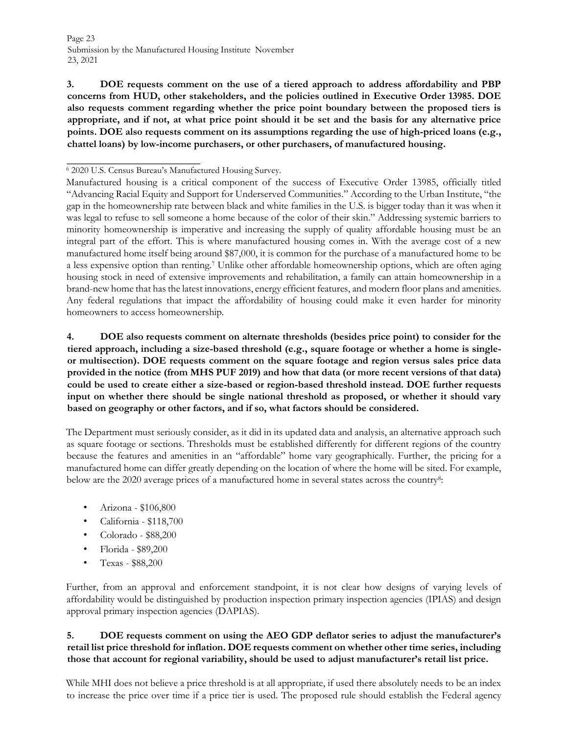**3. DOE requests comment on the use of a tiered approach to address affordability and PBP concerns from HUD, other stakeholders, and the policies outlined in Executive Order 13985. DOE also requests comment regarding whether the price point boundary between the proposed tiers is appropriate, and if not, at what price point should it be set and the basis for any alternative price points. DOE also requests comment on its assumptions regarding the use of high-priced loans (e.g., chattel loans) by low-income purchasers, or other purchasers, of manufactured housing.** 

**4. DOE also requests comment on alternate thresholds (besides price point) to consider for the tiered approach, including a size-based threshold (e.g., square footage or whether a home is singleor multisection). DOE requests comment on the square footage and region versus sales price data provided in the notice (from MHS PUF 2019) and how that data (or more recent versions of that data) could be used to create either a size-based or region-based threshold instead. DOE further requests input on whether there should be single national threshold as proposed, or whether it should vary based on geography or other factors, and if so, what factors should be considered.** 

The Department must seriously consider, as it did in its updated data and analysis, an alternative approach such as square footage or sections. Thresholds must be established differently for different regions of the country because the features and amenities in an "affordable" home vary geographically. Further, the pricing for a manufactured home can differ greatly depending on the location of where the home will be sited. For example, below are the 2020 average prices of a manufactured home in several states across the country<sup>8</sup>:

- Arizona \$106,800
- California \$118,700
- Colorado \$88,200
- Florida \$89,200
- Texas \$88,200

Further, from an approval and enforcement standpoint, it is not clear how designs of varying levels of affordability would be distinguished by production inspection primary inspection agencies (IPIAS) and design approval primary inspection agencies (DAPIAS).

# **5. DOE requests comment on using the AEO GDP deflator series to adjust the manufacturer's retail list price threshold for inflation. DOE requests comment on whether other time series, including those that account for regional variability, should be used to adjust manufacturer's retail list price.**

While MHI does not believe a price threshold is at all appropriate, if used there absolutely needs to be an index to increase the price over time if a price tier is used. The proposed rule should establish the Federal agency

<sup>6</sup> 2020 U.S. Census Bureau's Manufactured Housing Survey.

Manufactured housing is a critical component of the success of Executive Order 13985, officially titled "Advancing Racial Equity and Support for Underserved Communities." According to the Urban Institute, "the gap in the homeownership rate between black and white families in the U.S. is bigger today than it was when it was legal to refuse to sell someone a home because of the color of their skin." Addressing systemic barriers to minority homeownership is imperative and increasing the supply of quality affordable housing must be an integral part of the effort. This is where manufactured housing comes in. With the average cost of a new manufactured home itself being around \$87,000, it is common for the purchase of a manufactured home to be a less expensive option than renting.<sup>7</sup> Unlike other affordable homeownership options, which are often aging housing stock in need of extensive improvements and rehabilitation, a family can attain homeownership in a brand-new home that has the latest innovations, energy efficient features, and modern floor plans and amenities. Any federal regulations that impact the affordability of housing could make it even harder for minority homeowners to access homeownership.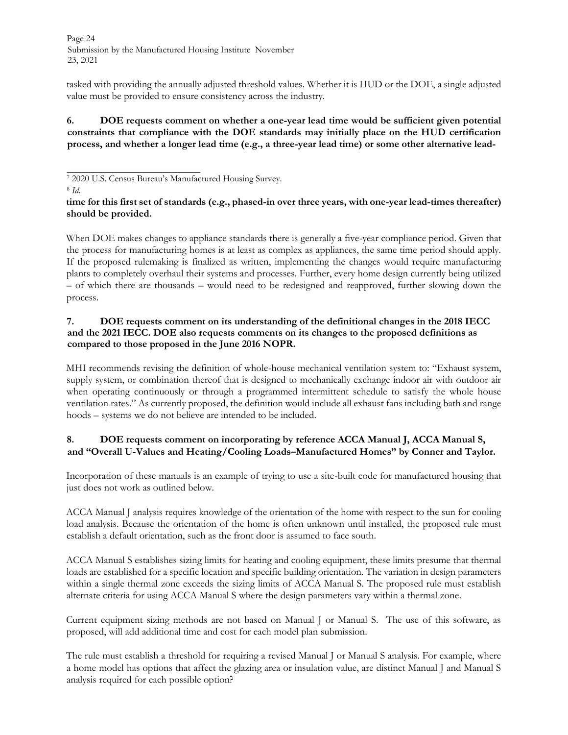Page 24 Submission by the Manufactured Housing Institute November 23, 2021

tasked with providing the annually adjusted threshold values. Whether it is HUD or the DOE, a single adjusted value must be provided to ensure consistency across the industry.

**6. DOE requests comment on whether a one-year lead time would be sufficient given potential constraints that compliance with the DOE standards may initially place on the HUD certification process, and whether a longer lead time (e.g., a three-year lead time) or some other alternative lead-**

8 *Id.*

**time for this first set of standards (e.g., phased-in over three years, with one-year lead-times thereafter) should be provided.** 

When DOE makes changes to appliance standards there is generally a five-year compliance period. Given that the process for manufacturing homes is at least as complex as appliances, the same time period should apply. If the proposed rulemaking is finalized as written, implementing the changes would require manufacturing plants to completely overhaul their systems and processes. Further, every home design currently being utilized – of which there are thousands – would need to be redesigned and reapproved, further slowing down the process.

# **7. DOE requests comment on its understanding of the definitional changes in the 2018 IECC and the 2021 IECC. DOE also requests comments on its changes to the proposed definitions as compared to those proposed in the June 2016 NOPR.**

MHI recommends revising the definition of whole-house mechanical ventilation system to: "Exhaust system, supply system, or combination thereof that is designed to mechanically exchange indoor air with outdoor air when operating continuously or through a programmed intermittent schedule to satisfy the whole house ventilation rates." As currently proposed, the definition would include all exhaust fans including bath and range hoods – systems we do not believe are intended to be included.

# **8. DOE requests comment on incorporating by reference ACCA Manual J, ACCA Manual S, and "Overall U-Values and Heating/Cooling Loads–Manufactured Homes" by Conner and Taylor.**

Incorporation of these manuals is an example of trying to use a site-built code for manufactured housing that just does not work as outlined below.

ACCA Manual J analysis requires knowledge of the orientation of the home with respect to the sun for cooling load analysis. Because the orientation of the home is often unknown until installed, the proposed rule must establish a default orientation, such as the front door is assumed to face south.

ACCA Manual S establishes sizing limits for heating and cooling equipment, these limits presume that thermal loads are established for a specific location and specific building orientation. The variation in design parameters within a single thermal zone exceeds the sizing limits of ACCA Manual S. The proposed rule must establish alternate criteria for using ACCA Manual S where the design parameters vary within a thermal zone.

Current equipment sizing methods are not based on Manual J or Manual S. The use of this software, as proposed, will add additional time and cost for each model plan submission.

The rule must establish a threshold for requiring a revised Manual J or Manual S analysis. For example, where a home model has options that affect the glazing area or insulation value, are distinct Manual J and Manual S analysis required for each possible option?

<sup>7</sup> 2020 U.S. Census Bureau's Manufactured Housing Survey.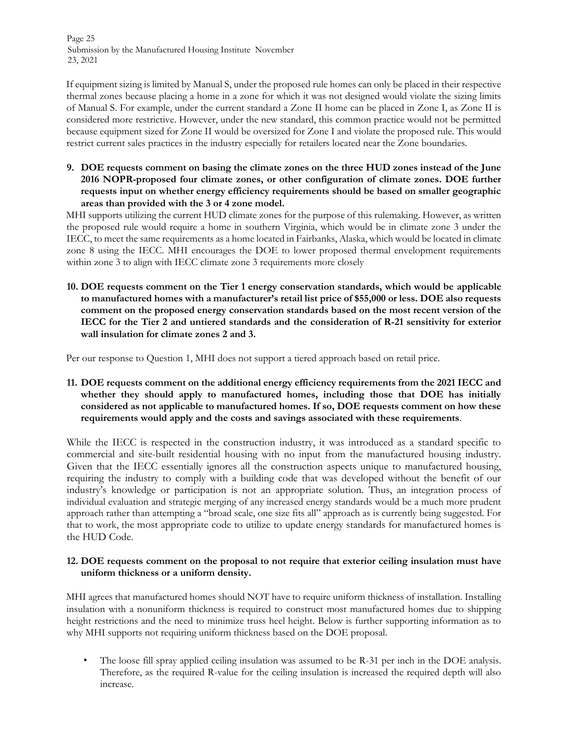Page 25 Submission by the Manufactured Housing Institute November 23, 2021

If equipment sizing is limited by Manual S, under the proposed rule homes can only be placed in their respective thermal zones because placing a home in a zone for which it was not designed would violate the sizing limits of Manual S. For example, under the current standard a Zone II home can be placed in Zone I, as Zone II is considered more restrictive. However, under the new standard, this common practice would not be permitted because equipment sized for Zone II would be oversized for Zone I and violate the proposed rule. This would restrict current sales practices in the industry especially for retailers located near the Zone boundaries.

**9. DOE requests comment on basing the climate zones on the three HUD zones instead of the June 2016 NOPR-proposed four climate zones, or other configuration of climate zones. DOE further requests input on whether energy efficiency requirements should be based on smaller geographic areas than provided with the 3 or 4 zone model.** 

MHI supports utilizing the current HUD climate zones for the purpose of this rulemaking. However, as written the proposed rule would require a home in southern Virginia, which would be in climate zone 3 under the IECC, to meet the same requirements as a home located in Fairbanks, Alaska, which would be located in climate zone 8 using the IECC. MHI encourages the DOE to lower proposed thermal envelopment requirements within zone 3 to align with IECC climate zone 3 requirements more closely

**10. DOE requests comment on the Tier 1 energy conservation standards, which would be applicable to manufactured homes with a manufacturer's retail list price of \$55,000 or less. DOE also requests comment on the proposed energy conservation standards based on the most recent version of the IECC for the Tier 2 and untiered standards and the consideration of R-21 sensitivity for exterior wall insulation for climate zones 2 and 3.** 

Per our response to Question 1, MHI does not support a tiered approach based on retail price.

**11. DOE requests comment on the additional energy efficiency requirements from the 2021 IECC and whether they should apply to manufactured homes, including those that DOE has initially considered as not applicable to manufactured homes. If so, DOE requests comment on how these requirements would apply and the costs and savings associated with these requirements**.

While the IECC is respected in the construction industry, it was introduced as a standard specific to commercial and site-built residential housing with no input from the manufactured housing industry. Given that the IECC essentially ignores all the construction aspects unique to manufactured housing, requiring the industry to comply with a building code that was developed without the benefit of our industry's knowledge or participation is not an appropriate solution. Thus, an integration process of individual evaluation and strategic merging of any increased energy standards would be a much more prudent approach rather than attempting a "broad scale, one size fits all" approach as is currently being suggested. For that to work, the most appropriate code to utilize to update energy standards for manufactured homes is the HUD Code.

# **12. DOE requests comment on the proposal to not require that exterior ceiling insulation must have uniform thickness or a uniform density.**

MHI agrees that manufactured homes should NOT have to require uniform thickness of installation. Installing insulation with a nonuniform thickness is required to construct most manufactured homes due to shipping height restrictions and the need to minimize truss heel height. Below is further supporting information as to why MHI supports not requiring uniform thickness based on the DOE proposal.

• The loose fill spray applied ceiling insulation was assumed to be R-31 per inch in the DOE analysis. Therefore, as the required R-value for the ceiling insulation is increased the required depth will also increase.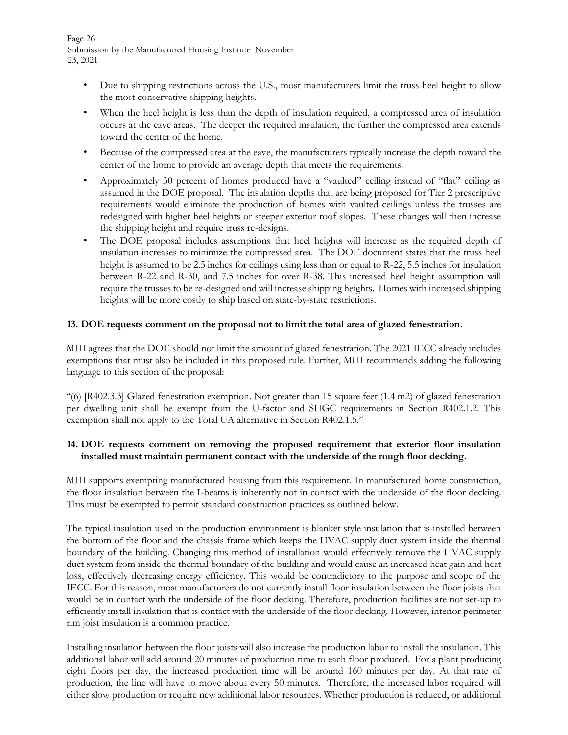Page 26 Submission by the Manufactured Housing Institute November 23, 2021

- Due to shipping restrictions across the U.S., most manufacturers limit the truss heel height to allow the most conservative shipping heights.
- When the heel height is less than the depth of insulation required, a compressed area of insulation occurs at the eave areas. The deeper the required insulation, the further the compressed area extends toward the center of the home.
- Because of the compressed area at the eave, the manufacturers typically increase the depth toward the center of the home to provide an average depth that meets the requirements.
- Approximately 30 percent of homes produced have a "vaulted" ceiling instead of "flat" ceiling as assumed in the DOE proposal. The insulation depths that are being proposed for Tier 2 prescriptive requirements would eliminate the production of homes with vaulted ceilings unless the trusses are redesigned with higher heel heights or steeper exterior roof slopes. These changes will then increase the shipping height and require truss re-designs.
- The DOE proposal includes assumptions that heel heights will increase as the required depth of insulation increases to minimize the compressed area. The DOE document states that the truss heel height is assumed to be 2.5 inches for ceilings using less than or equal to R-22, 5.5 inches for insulation between R-22 and R-30, and 7.5 inches for over R-38. This increased heel height assumption will require the trusses to be re-designed and will increase shipping heights. Homes with increased shipping heights will be more costly to ship based on state-by-state restrictions.

# **13. DOE requests comment on the proposal not to limit the total area of glazed fenestration.**

MHI agrees that the DOE should not limit the amount of glazed fenestration. The 2021 IECC already includes exemptions that must also be included in this proposed rule. Further, MHI recommends adding the following language to this section of the proposal:

"(6) [R402.3.3] Glazed fenestration exemption. Not greater than 15 square feet (1.4 m2) of glazed fenestration per dwelling unit shall be exempt from the U-factor and SHGC requirements in Section R402.1.2. This exemption shall not apply to the Total UA alternative in Section R402.1.5."

# **14. DOE requests comment on removing the proposed requirement that exterior floor insulation installed must maintain permanent contact with the underside of the rough floor decking.**

MHI supports exempting manufactured housing from this requirement. In manufactured home construction, the floor insulation between the I-beams is inherently not in contact with the underside of the floor decking. This must be exempted to permit standard construction practices as outlined below.

The typical insulation used in the production environment is blanket style insulation that is installed between the bottom of the floor and the chassis frame which keeps the HVAC supply duct system inside the thermal boundary of the building. Changing this method of installation would effectively remove the HVAC supply duct system from inside the thermal boundary of the building and would cause an increased heat gain and heat loss, effectively decreasing energy efficiency. This would be contradictory to the purpose and scope of the IECC. For this reason, most manufacturers do not currently install floor insulation between the floor joists that would be in contact with the underside of the floor decking. Therefore, production facilities are not set-up to efficiently install insulation that is contact with the underside of the floor decking. However, interior perimeter rim joist insulation is a common practice.

Installing insulation between the floor joists will also increase the production labor to install the insulation. This additional labor will add around 20 minutes of production time to each floor produced. For a plant producing eight floors per day, the increased production time will be around 160 minutes per day. At that rate of production, the line will have to move about every 50 minutes. Therefore, the increased labor required will either slow production or require new additional labor resources. Whether production is reduced, or additional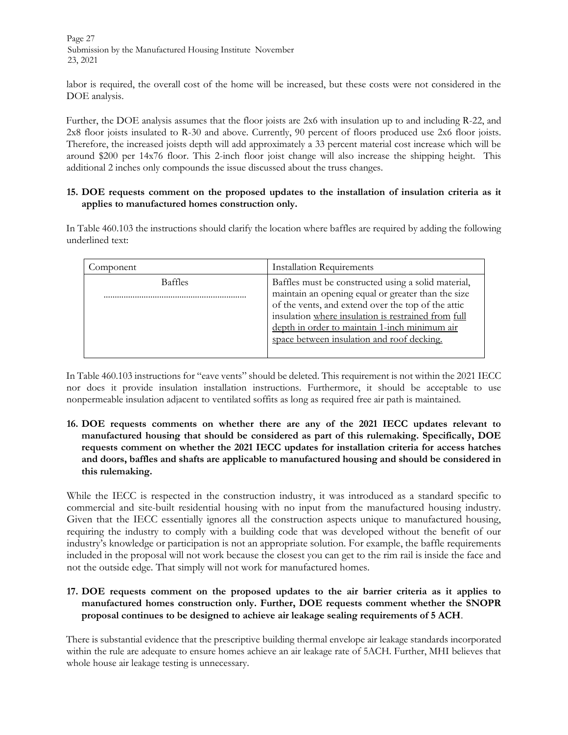Page 27 Submission by the Manufactured Housing Institute November 23, 2021

labor is required, the overall cost of the home will be increased, but these costs were not considered in the DOE analysis.

Further, the DOE analysis assumes that the floor joists are 2x6 with insulation up to and including R-22, and 2x8 floor joists insulated to R-30 and above. Currently, 90 percent of floors produced use 2x6 floor joists. Therefore, the increased joists depth will add approximately a 33 percent material cost increase which will be around \$200 per 14x76 floor. This 2-inch floor joist change will also increase the shipping height. This additional 2 inches only compounds the issue discussed about the truss changes.

# **15. DOE requests comment on the proposed updates to the installation of insulation criteria as it applies to manufactured homes construction only.**

In Table 460.103 the instructions should clarify the location where baffles are required by adding the following underlined text:

| Component | <b>Installation Requirements</b>                                                                                                                                                                                                                                                                                      |
|-----------|-----------------------------------------------------------------------------------------------------------------------------------------------------------------------------------------------------------------------------------------------------------------------------------------------------------------------|
| Baffles   | Baffles must be constructed using a solid material,<br>maintain an opening equal or greater than the size<br>of the vents, and extend over the top of the attic<br>insulation where insulation is restrained from full<br>depth in order to maintain 1-inch minimum air<br>space between insulation and roof decking. |

In Table 460.103 instructions for "eave vents" should be deleted. This requirement is not within the 2021 IECC nor does it provide insulation installation instructions. Furthermore, it should be acceptable to use nonpermeable insulation adjacent to ventilated soffits as long as required free air path is maintained.

**16. DOE requests comments on whether there are any of the 2021 IECC updates relevant to manufactured housing that should be considered as part of this rulemaking. Specifically, DOE requests comment on whether the 2021 IECC updates for installation criteria for access hatches and doors, baffles and shafts are applicable to manufactured housing and should be considered in this rulemaking.** 

While the IECC is respected in the construction industry, it was introduced as a standard specific to commercial and site-built residential housing with no input from the manufactured housing industry. Given that the IECC essentially ignores all the construction aspects unique to manufactured housing, requiring the industry to comply with a building code that was developed without the benefit of our industry's knowledge or participation is not an appropriate solution. For example, the baffle requirements included in the proposal will not work because the closest you can get to the rim rail is inside the face and not the outside edge. That simply will not work for manufactured homes.

# **17. DOE requests comment on the proposed updates to the air barrier criteria as it applies to manufactured homes construction only. Further, DOE requests comment whether the SNOPR proposal continues to be designed to achieve air leakage sealing requirements of 5 ACH**.

There is substantial evidence that the prescriptive building thermal envelope air leakage standards incorporated within the rule are adequate to ensure homes achieve an air leakage rate of 5ACH. Further, MHI believes that whole house air leakage testing is unnecessary.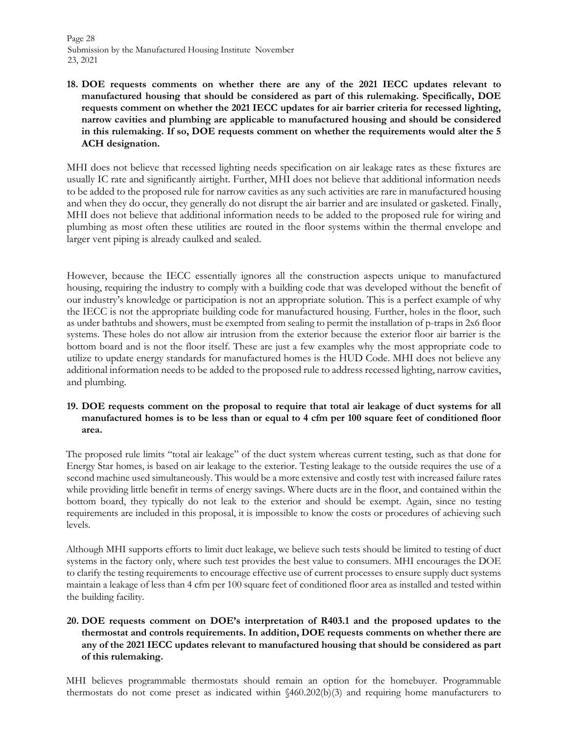Page 28 Submission by the Manufactured Housing Institute November 23, 2021

**18. DOE requests comments on whether there are any of the 2021 IECC updates relevant to manufactured housing that should be considered as part of this rulemaking. Specifically, DOE requests comment on whether the 2021 IECC updates for air barrier criteria for recessed lighting, narrow cavities and plumbing are applicable to manufactured housing and should be considered in this rulemaking. If so, DOE requests comment on whether the requirements would alter the 5 ACH designation.** 

MHI does not believe that recessed lighting needs specification on air leakage rates as these fixtures are usually IC rate and significantly airtight. Further, MHI does not believe that additional information needs to be added to the proposed rule for narrow cavities as any such activities are rare in manufactured housing and when they do occur, they generally do not disrupt the air barrier and are insulated or gasketed. Finally, MHI does not believe that additional information needs to be added to the proposed rule for wiring and plumbing as most often these utilities are routed in the floor systems within the thermal envelope and larger vent piping is already caulked and sealed.

However, because the IECC essentially ignores all the construction aspects unique to manufactured housing, requiring the industry to comply with a building code that was developed without the benefit of our industry's knowledge or participation is not an appropriate solution. This is a perfect example of why the IECC is not the appropriate building code for manufactured housing. Further, holes in the floor, such as under bathtubs and showers, must be exempted from sealing to permit the installation of p-traps in 2x6 floor systems. These holes do not allow air intrusion from the exterior because the exterior floor air barrier is the bottom board and is not the floor itself. These are just a few examples why the most appropriate code to utilize to update energy standards for manufactured homes is the HUD Code. MHI does not believe any additional information needs to be added to the proposed rule to address recessed lighting, narrow cavities, and plumbing.

# **19. DOE requests comment on the proposal to require that total air leakage of duct systems for all manufactured homes is to be less than or equal to 4 cfm per 100 square feet of conditioned floor area.**

The proposed rule limits "total air leakage" of the duct system whereas current testing, such as that done for Energy Star homes, is based on air leakage to the exterior. Testing leakage to the outside requires the use of a second machine used simultaneously. This would be a more extensive and costly test with increased failure rates while providing little benefit in terms of energy savings. Where ducts are in the floor, and contained within the bottom board, they typically do not leak to the exterior and should be exempt. Again, since no testing requirements are included in this proposal, it is impossible to know the costs or procedures of achieving such levels.

Although MHI supports efforts to limit duct leakage, we believe such tests should be limited to testing of duct systems in the factory only, where such test provides the best value to consumers. MHI encourages the DOE to clarify the testing requirements to encourage effective use of current processes to ensure supply duct systems maintain a leakage of less than 4 cfm per 100 square feet of conditioned floor area as installed and tested within the building facility.

# **20. DOE requests comment on DOE's interpretation of R403.1 and the proposed updates to the thermostat and controls requirements. In addition, DOE requests comments on whether there are any of the 2021 IECC updates relevant to manufactured housing that should be considered as part of this rulemaking.**

MHI believes programmable thermostats should remain an option for the homebuyer. Programmable thermostats do not come preset as indicated within §460.202(b)(3) and requiring home manufacturers to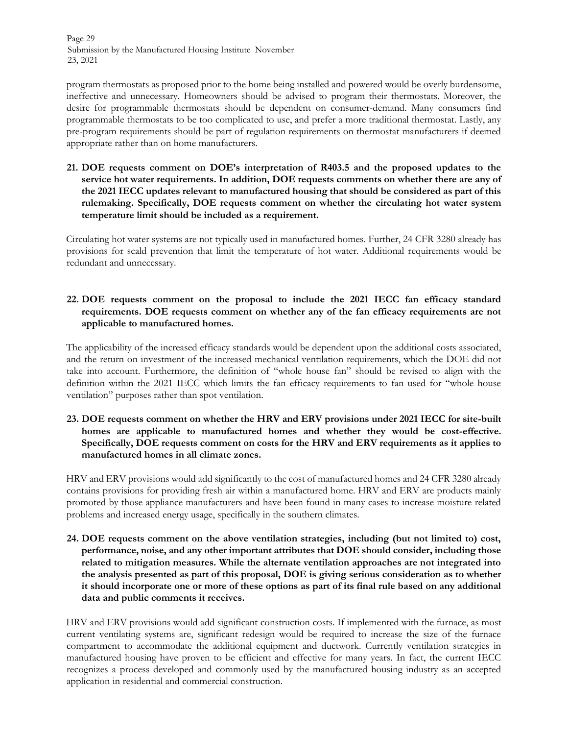Page 29 Submission by the Manufactured Housing Institute November 23, 2021

program thermostats as proposed prior to the home being installed and powered would be overly burdensome, ineffective and unnecessary. Homeowners should be advised to program their thermostats. Moreover, the desire for programmable thermostats should be dependent on consumer-demand. Many consumers find programmable thermostats to be too complicated to use, and prefer a more traditional thermostat. Lastly, any pre-program requirements should be part of regulation requirements on thermostat manufacturers if deemed appropriate rather than on home manufacturers.

**21. DOE requests comment on DOE's interpretation of R403.5 and the proposed updates to the service hot water requirements. In addition, DOE requests comments on whether there are any of the 2021 IECC updates relevant to manufactured housing that should be considered as part of this rulemaking. Specifically, DOE requests comment on whether the circulating hot water system temperature limit should be included as a requirement.** 

Circulating hot water systems are not typically used in manufactured homes. Further, 24 CFR 3280 already has provisions for scald prevention that limit the temperature of hot water. Additional requirements would be redundant and unnecessary.

# **22. DOE requests comment on the proposal to include the 2021 IECC fan efficacy standard requirements. DOE requests comment on whether any of the fan efficacy requirements are not applicable to manufactured homes.**

The applicability of the increased efficacy standards would be dependent upon the additional costs associated, and the return on investment of the increased mechanical ventilation requirements, which the DOE did not take into account. Furthermore, the definition of "whole house fan" should be revised to align with the definition within the 2021 IECC which limits the fan efficacy requirements to fan used for "whole house ventilation" purposes rather than spot ventilation.

# **23. DOE requests comment on whether the HRV and ERV provisions under 2021 IECC for site-built homes are applicable to manufactured homes and whether they would be cost-effective. Specifically, DOE requests comment on costs for the HRV and ERV requirements as it applies to manufactured homes in all climate zones.**

HRV and ERV provisions would add significantly to the cost of manufactured homes and 24 CFR 3280 already contains provisions for providing fresh air within a manufactured home. HRV and ERV are products mainly promoted by those appliance manufacturers and have been found in many cases to increase moisture related problems and increased energy usage, specifically in the southern climates.

**24. DOE requests comment on the above ventilation strategies, including (but not limited to) cost, performance, noise, and any other important attributes that DOE should consider, including those related to mitigation measures. While the alternate ventilation approaches are not integrated into the analysis presented as part of this proposal, DOE is giving serious consideration as to whether it should incorporate one or more of these options as part of its final rule based on any additional data and public comments it receives.** 

HRV and ERV provisions would add significant construction costs. If implemented with the furnace, as most current ventilating systems are, significant redesign would be required to increase the size of the furnace compartment to accommodate the additional equipment and ductwork. Currently ventilation strategies in manufactured housing have proven to be efficient and effective for many years. In fact, the current IECC recognizes a process developed and commonly used by the manufactured housing industry as an accepted application in residential and commercial construction.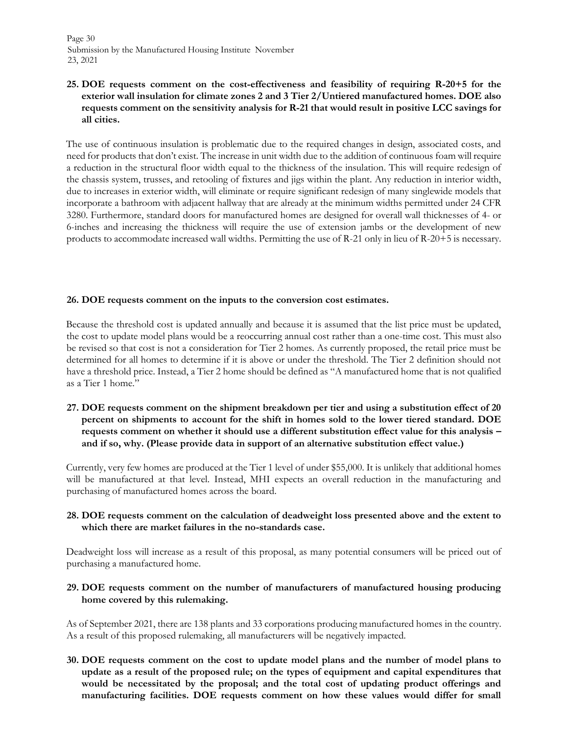Page 30 Submission by the Manufactured Housing Institute November 23, 2021

# **25. DOE requests comment on the cost-effectiveness and feasibility of requiring R-20+5 for the exterior wall insulation for climate zones 2 and 3 Tier 2/Untiered manufactured homes. DOE also requests comment on the sensitivity analysis for R-21 that would result in positive LCC savings for all cities.**

The use of continuous insulation is problematic due to the required changes in design, associated costs, and need for products that don't exist. The increase in unit width due to the addition of continuous foam will require a reduction in the structural floor width equal to the thickness of the insulation. This will require redesign of the chassis system, trusses, and retooling of fixtures and jigs within the plant. Any reduction in interior width, due to increases in exterior width, will eliminate or require significant redesign of many singlewide models that incorporate a bathroom with adjacent hallway that are already at the minimum widths permitted under 24 CFR 3280. Furthermore, standard doors for manufactured homes are designed for overall wall thicknesses of 4- or 6-inches and increasing the thickness will require the use of extension jambs or the development of new products to accommodate increased wall widths. Permitting the use of R-21 only in lieu of R-20+5 is necessary.

#### **26. DOE requests comment on the inputs to the conversion cost estimates.**

Because the threshold cost is updated annually and because it is assumed that the list price must be updated, the cost to update model plans would be a reoccurring annual cost rather than a one-time cost. This must also be revised so that cost is not a consideration for Tier 2 homes. As currently proposed, the retail price must be determined for all homes to determine if it is above or under the threshold. The Tier 2 definition should not have a threshold price. Instead, a Tier 2 home should be defined as "A manufactured home that is not qualified as a Tier 1 home."

**27. DOE requests comment on the shipment breakdown per tier and using a substitution effect of 20 percent on shipments to account for the shift in homes sold to the lower tiered standard. DOE requests comment on whether it should use a different substitution effect value for this analysis – and if so, why. (Please provide data in support of an alternative substitution effect value.)**

Currently, very few homes are produced at the Tier 1 level of under \$55,000. It is unlikely that additional homes will be manufactured at that level. Instead, MHI expects an overall reduction in the manufacturing and purchasing of manufactured homes across the board.

# **28. DOE requests comment on the calculation of deadweight loss presented above and the extent to which there are market failures in the no-standards case.**

Deadweight loss will increase as a result of this proposal, as many potential consumers will be priced out of purchasing a manufactured home.

# **29. DOE requests comment on the number of manufacturers of manufactured housing producing home covered by this rulemaking.**

As of September 2021, there are 138 plants and 33 corporations producing manufactured homes in the country. As a result of this proposed rulemaking, all manufacturers will be negatively impacted.

**30. DOE requests comment on the cost to update model plans and the number of model plans to update as a result of the proposed rule; on the types of equipment and capital expenditures that would be necessitated by the proposal; and the total cost of updating product offerings and manufacturing facilities. DOE requests comment on how these values would differ for small**